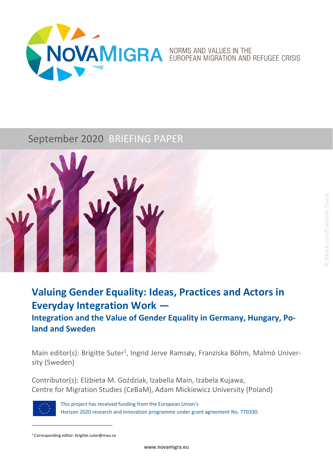

# September 2020 BRIEFING PAPER



# **Valuing Gender Equality: Ideas, Practices and Actors in Everyday Integration Work —**

**Integration and the Value of Gender Equality in Germany, Hungary, Po‐ land and Sweden**

Main editor(s): Brigitte Suter<sup>1</sup>, Ingrid Jerve Ramsøy, Franziska Böhm, Malmö University (Sweden)

Contributor(s): Elżbieta M. Goździak, Izabella Main, Izabela Kujawa, Centre for Migration Studies (CeBaM), Adam Mickiewicz University (Poland)



This project has received funding from the European Union's Horizon 2020 research and innovation programme under grant agreement No. 770330.

<sup>1</sup> Corresponding editor: brigitte.suter@mau.se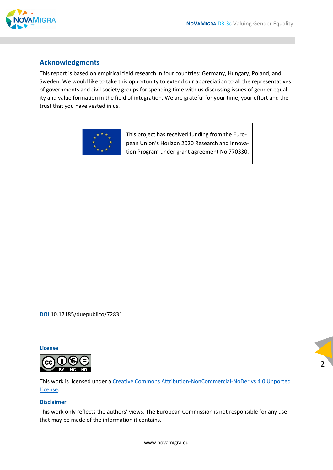

### **Acknowledgments**

This report is based on empirical field research in four countries: Germany, Hungary, Poland, and Sweden. We would like to take this opportunity to extend our appreciation to all the representatives of governments and civil society groups for spending time with us discussing issues of gender equal‐ ity and value formation in the field of integration. We are grateful for your time, your effort and the trust that you have vested in us.



This project has received funding from the Euro‐ pean Union's Horizon 2020 Research and Innova‐ tion Program under grant agreement No 770330.

**DOI** 10.17185/duepublico/72831

**License**



This work is licensed under a Creative Commons Attribution‐NonCommercial‐NoDerivs 4.0 Unported License.

#### **Disclaimer**

This work only reflects the authors' views. The European Commission is not responsible for any use that may be made of the information it contains.

2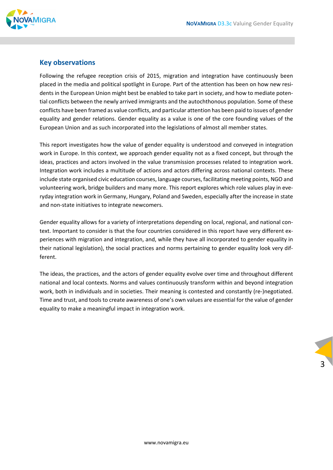

### **Key observations**

Following the refugee reception crisis of 2015, migration and integration have continuously been placed in the media and political spotlight in Europe. Part of the attention has been on how new residents in the European Union might best be enabled to take part in society, and how to mediate poten‐ tial conflicts between the newly arrived immigrants and the autochthonous population. Some of these conflicts have been framed as value conflicts, and particular attention has been paid to issues of gender equality and gender relations. Gender equality as a value is one of the core founding values of the European Union and as such incorporated into the legislations of almost all member states.

This report investigates how the value of gender equality is understood and conveyed in integration work in Europe. In this context, we approach gender equality not as a fixed concept, but through the ideas, practices and actors involved in the value transmission processes related to integration work. Integration work includes a multitude of actions and actors differing across national contexts. These include state organised civic education courses, language courses, facilitating meeting points, NGO and volunteering work, bridge builders and many more. This report explores which role values play in eve‐ ryday integration work in Germany, Hungary, Poland and Sweden, especially after the increase in state and non‐state initiatives to integrate newcomers.

Gender equality allows for a variety of interpretations depending on local, regional, and national con‐ text. Important to consider is that the four countries considered in this report have very different ex‐ periences with migration and integration, and, while they have all incorporated to gender equality in their national legislation), the social practices and norms pertaining to gender equality look very dif‐ ferent.

The ideas, the practices, and the actors of gender equality evolve over time and throughout different national and local contexts. Norms and values continuously transform within and beyond integration work, both in individuals and in societies. Their meaning is contested and constantly (re-)negotiated. Time and trust, and tools to create awareness of one's own values are essential for the value of gender equality to make a meaningful impact in integration work.

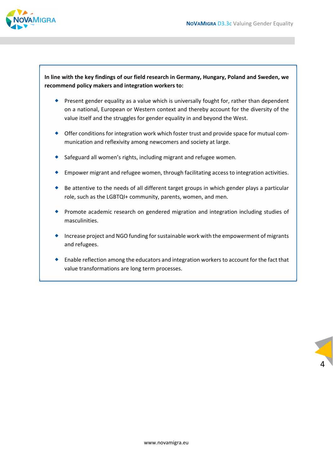

#### **In line with the key findings of our field research in Germany, Hungary, Poland and Sweden, we recommend policy makers and integration workers to:**

- **Present gender equality as a value which is universally fought for, rather than dependent** on a national, European or Western context and thereby account for the diversity of the value itself and the struggles for gender equality in and beyond the West.
- ◆ Offer conditions for integration work which foster trust and provide space for mutual communication and reflexivity among newcomers and society at large.
- ◆ Safeguard all women's rights, including migrant and refugee women.
- Empower migrant and refugee women, through facilitating access to integration activities.
- $\bullet$  Be attentive to the needs of all different target groups in which gender plays a particular role, such as the LGBTQI+ community, parents, women, and men.
- Promote academic research on gendered migration and integration including studies of masculinities.
- Increase project and NGO funding forsustainable work with the empowerment of migrants and refugees.
- Enable reflection among the educators and integration workersto account for the fact that value transformations are long term processes.

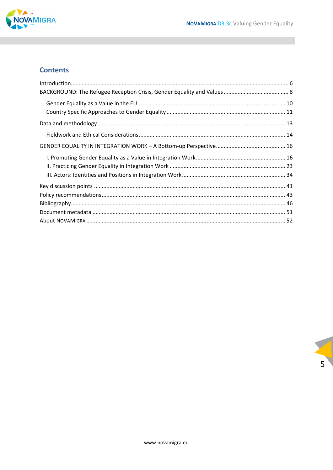

### **Contents**

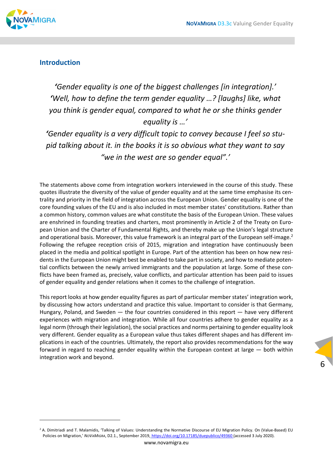

### **Introduction**

*'Gender equality is one of the biggest challenges [in integration].' 'Well, how to define the term gender equality …? [laughs] like, what you think is gender equal, compared to what he or she thinks gender equality is …'*

*'Gender equality is a very difficult topic to convey because I feel so stu‐ pid talking about it. in the books it is so obvious what they want to say "we in the west are so gender equal".'*

The statements above come from integration workers interviewed in the course of this study. These quotes illustrate the diversity of the value of gender equality and at the same time emphasise its cen‐ trality and priority in the field of integration across the European Union. Gender equality is one of the core founding values of the EU and is also included in most member states' constitutions. Rather than a common history, common values are what constitute the basis of the European Union. These values are enshrined in founding treaties and charters, most prominently in Article 2 of the Treaty on European Union and the Charter of Fundamental Rights, and thereby make up the Union's legal structure and operational basis. Moreover, this value framework is an integral part of the European self-image.<sup>2</sup> Following the refugee reception crisis of 2015, migration and integration have continuously been placed in the media and political spotlight in Europe. Part of the attention has been on how new resi‐ dents in the European Union might best be enabled to take part in society, and how to mediate potential conflicts between the newly arrived immigrants and the population at large. Some of these con‐ flicts have been framed as, precisely, value conflicts, and particular attention has been paid to issues of gender equality and gender relations when it comes to the challenge of integration.

This report looks at how gender equality figures as part of particular member states' integration work, by discussing how actors understand and practice this value. Important to consider is that Germany, Hungary, Poland, and Sweden — the four countries considered in this report — have very different experiences with migration and integration. While all four countries adhere to gender equality as a legal norm (through their legislation), the social practices and norms pertaining to gender equality look very different. Gender equality as a European value thus takes different shapes and has different im‐ plications in each of the countries. Ultimately, the report also provides recommendations for the way forward in regard to reaching gender equality within the European context at large — both within integration work and beyond.



<sup>&</sup>lt;sup>2</sup> A. Dimitriadi and T. Malamidis, 'Talking of Values: Understanding the Normative Discourse of EU Migration Policy. On (Value-Based) EU Policies on Migration,' *NOVAMIGRA*, D2.1., September 2019, https://doi.org/10.17185/duepublico/49360 (accessed 3 July 2020).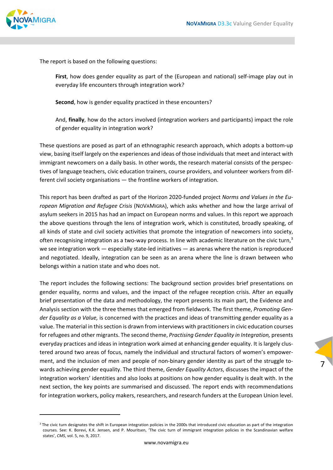

The report is based on the following questions:

First, how does gender equality as part of the (European and national) self-image play out in everyday life encounters through integration work?

**Second**, how is gender equality practiced in these encounters?

And, **finally**, how do the actors involved (integration workers and participants) impact the role of gender equality in integration work?

These questions are posed as part of an ethnographic research approach, which adopts a bottom‐up view, basing itself largely on the experiences and ideas of those individuals that meet and interact with immigrant newcomers on a daily basis. In other words, the research material consists of the perspec‐ tives of language teachers, civic education trainers, course providers, and volunteer workers from dif‐ ferent civil society organisations — the frontline workers of integration.

This report has been drafted as part of the Horizon 2020‐funded project *Norms and Values in the Eu‐ ropean Migration and Refugee Crisis* (NOVAMIGRA), which asks whether and how the large arrival of asylum seekers in 2015 has had an impact on European norms and values. In this report we approach the above questions through the lens of integration work, which is constituted, broadly speaking, of all kinds of state and civil society activities that promote the integration of newcomers into society, often recognising integration as a two-way process. In line with academic literature on the civic turn, $3$ we see integration work — especially state-led initiatives — as arenas where the nation is reproduced and negotiated. Ideally, integration can be seen as an arena where the line is drawn between who belongs within a nation state and who does not.

The report includes the following sections: The background section provides brief presentations on gender equality, norms and values, and the impact of the refugee reception crisis. After an equally brief presentation of the data and methodology, the report presents its main part, the Evidence and Analysis section with the three themes that emerged from fieldwork. The first theme, *Promoting Gen‐ der Equality as a Value,* is concerned with the practices and ideas of transmitting gender equality as a value. The material in this section is drawn from interviews with practitioners in civic education courses for refugees and other migrants. The second theme, *Practising Gender Equality in Integration,* presents everyday practices and ideas in integration work aimed at enhancing gender equality. It is largely clus‐ tered around two areas of focus, namely the individual and structural factors of women's empower‐ ment, and the inclusion of men and people of non-binary gender identity as part of the struggle towards achieving gender equality. The third theme, *Gender Equality Actors*, discusses the impact of the integration workers' identities and also looks at positions on how gender equality is dealt with. In the next section, the key points are summarised and discussed. The report ends with recommendations for integration workers, policy makers, researchers, and research funders at the European Union level.

<sup>&</sup>lt;sup>3</sup> The civic turn designates the shift in European integration policies in the 2000s that introduced civic education as part of the integration courses. See: K. Borevi, K.K. Jensen, and P. Mouritsen, 'The civic turn of immigrant integration policies in the Scandinavian welfare states', *CMS*, vol. 5, no. 9, 2017.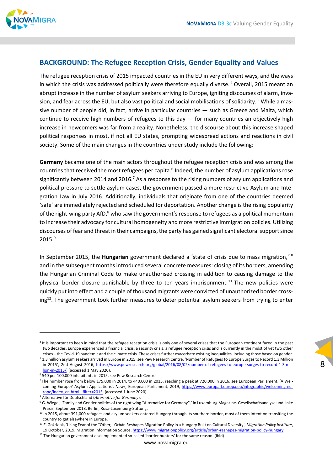

### **BACKGROUND: The Refugee Reception Crisis, Gender Equality and Values**

The refugee reception crisis of 2015 impacted countries in the EU in very different ways, and the ways in which the crisis was addressed politically were therefore equally diverse.<sup>4</sup> Overall, 2015 meant an abrupt increase in the number of asylum seekers arriving to Europe, igniting discourses of alarm, invasion, and fear across the EU, but also vast political and social mobilisations of solidarity.<sup>5</sup> While a massive number of people did, in fact, arrive in particular countries — such as Greece and Malta, which continue to receive high numbers of refugees to this day — for many countries an objectively high increase in newcomers was far from a reality. Nonetheless, the discourse about this increase shaped political responses in most, if not all EU states, prompting widespread actions and reactions in civil society. Some of the main changes in the countries under study include the following:

**Germany** became one of the main actors throughout the refugee reception crisis and was among the countries that received the most refugees per capita.<sup>6</sup> Indeed, the number of asylum applications rose significantly between 2014 and 2016.<sup>7</sup> As a response to the rising numbers of asylum applications and political pressure to settle asylum cases, the government passed a more restrictive Asylum and Inte‐ gration Law in July 2016. Additionally, individuals that originate from one of the countries deemed 'safe' are immediately rejected and scheduled for deportation. Another change is the rising popularity of the right-wing party AfD,<sup>8</sup> who saw the government's response to refugees as a political momentum to increase their advocacy for cultural homogeneity and more restrictive immigration policies. Utilizing discourses of fear and threat in their campaigns, the party has gained significant electoral support since 2015.9

In September 2015, the **Hungarian** government declared a 'state of crisis due to mass migration,'10 and in the subsequent months introduced several concrete measures: closing of its borders, amending the Hungarian Criminal Code to make unauthorised crossing in addition to causing damage to the physical border closure punishable by three to ten years imprisonment.<sup>11</sup> The new policies were quickly put into effect and a couple of thousand migrants were convicted of unauthorized border cross‐  $ing<sup>12</sup>$ . The government took further measures to deter potential asylum seekers from trying to enter

<sup>&</sup>lt;sup>4</sup> It is important to keep in mind that the refugee reception crisis is only one of several crises that the European continent faced in the past two decades. Europe experienced a financial crisis, a security crisis, a refugee reception crisis and is currently in the midst of yet two other crises – the Covid-19 pandemic and the climate crisis. These crises further exacerbate existing inequalities, including those based on gender.

<sup>&</sup>lt;sup>5</sup> 1.3 million asylum seekers arrived in Europe in 2015, see Pew Research Centre, 'Number of Refugees to Europe Surges to Record 1.3 Million in 2015', 2nd August 2016, https://www.pewresearch.org/global/2016/08/02/number-of-refugees-to-europe-surges-to-record-1-3-million‐in‐2015/, (accessed 1 May 2020).

<sup>6</sup> 540 per 100,000 inhabitants in 2015, see Pew Research Centre.

<sup>7</sup> The number rose from below 175,000 in 2014, to 440,000 in 2015, reaching a peak at 720,000 in 2016, see European Parliament, 'A Wel‐ coming Europe? Asylum Applications', *News,* European Parliament, 2019, https://www.europarl.europa.eu/infographic/welcoming-europe/index\_en.html - filter=2015, (accessed 1 June 2020).

<sup>8</sup> Alternative für Deutschland (*Alternative for Germany*).

<sup>&</sup>lt;sup>9</sup> G. Wiegel, 'Family and Gender politics of the right wing "Alternative for Germany",' in Luxemburg Magazine. Gesellschaftsanalyse und linke Praxis, September 2018, Berlin, Rosa‐Luxemburg‐Stiftung.

 $10$  In 2015, about 391,000 refugees and asylum seekers entered Hungary through its southern border, most of them intent on transiting the country to get elsewhere in Europe.

<sup>11</sup> E. Goździak, 'Using Fear of the "Other," Orbán Reshapes Migration Policy in a Hungary Built on Cultural Diversity', *Migration Policy Institute*, 19 October, 2019, Migration Information Source, https://www.migrationpolicy.org/article/orban-reshapes-migration-policy-hungary.

 $12$  The Hungarian government also implemented so-called 'border hunters' for the same reason. (ibid)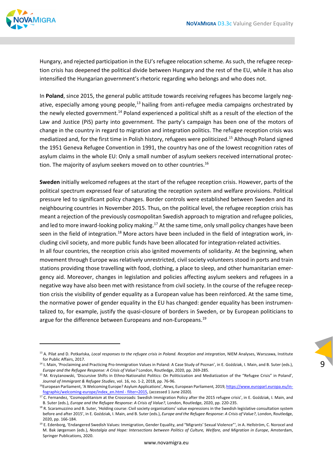

Hungary, and rejected participation in the EU's refugee relocation scheme. As such, the refugee reception crisis has deepened the political divide between Hungary and the rest of the EU, while it has also intensified the Hungarian government's rhetoric regarding who belongs and who does not.

In **Poland**, since 2015, the general public attitude towards receiving refugees has become largely neg‐ ative, especially among young people,<sup>13</sup> hailing from anti-refugee media campaigns orchestrated by the newly elected government.<sup>14</sup> Poland experienced a political shift as a result of the election of the Law and Justice (PiS) party into government. The party's campaign has been one of the motors of change in the country in regard to migration and integration politics. The refugee reception crisis was mediatized and, for the first time in Polish history, refugees were politicized.15 Although Poland signed the 1951 Geneva Refugee Convention in 1991, the country has one of the lowest recognition rates of asylum claims in the whole EU: Only a small number of asylum seekers received international protec‐ tion. The majority of asylum seekers moved on to other countries.<sup>16</sup>

**Sweden** initially welcomed refugees at the start of the refugee reception crisis. However, parts of the political spectrum expressed fear of saturating the reception system and welfare provisions. Political pressure led to significant policy changes. Border controls were established between Sweden and its neighbouring countries in November 2015. Thus, on the political level, the refugee reception crisis has meant a rejection of the previously cosmopolitan Swedish approach to migration and refugee policies, and led to more inward-looking policy making.<sup>17</sup> At the same time, only small policy changes have been seen in the field of integration.<sup>18</sup> More actors have been included in the field of integration work, including civil society, and more public funds have been allocated for integration‐related activities.

In all four countries, the reception crisis also ignited movements of solidarity. At the beginning, when movement through Europe was relatively unrestricted, civil society volunteers stood in ports and train stations providing those travelling with food, clothing, a place to sleep, and other humanitarian emer‐ gency aid. Moreover, changes in legislation and policies affecting asylum seekers and refugees in a negative way have also been met with resistance from civil society. In the course of the refugee recep‐ tion crisis the visibility of gender equality as a European value has been reinforced. At the same time, the normative power of gender equality in the EU has changed: gender equality has been instrumen‐ talized to, for example, justify the quasi‐closure of borders in Sweden, or by European politicians to argue for the difference between Europeans and non-Europeans.<sup>19</sup>

<sup>13</sup> A. Pilat and D. Potkańska, *Local responses to the refugee crisis in Poland. Reception and integration*, NIEM Analyses, Warszawa, Institute for Public Affairs, 2017.

<sup>&</sup>lt;sup>14</sup> I. Main, 'Proclaiming and Practicing Pro-Immigration Values in Poland: A Case Study of Poznan', in E. Goździak, I. Main, and B. Suter (eds.), *Europe and the Refugee Response: A Crisis of Value?* London, Routledge, 2020, pp. 269‐285.

<sup>15</sup> M. Krzyżanowski, 'Discursive Shifts in Ethno-Nationalist Politics: On Politicization and Mediatization of the "Refugee Crisis" in Poland', *Journal of Immigrant & Refugee Studies*, vol. 16, no. 1‐2, 2018, pp. 76‐96.

<sup>16</sup>European Parliament, 'A Welcoming Europe? Asylum Applications', *News,* European Parliament*,* 2019, https://www.europarl.europa.eu/in‐ fographic/welcoming-europe/index\_en.html - filter=2015, (accessed 1 June 2020).

<sup>&</sup>lt;sup>17</sup> C. Fernandez, 'Cosmopolitanism at the Crossroads: Swedish Immigration Policy after the 2015 refugee crisis', in E. Goździak, I. Main, and B. Suter (eds.), *Europe and the Refugee Response: A Crisis of Value?*, London, Routledge, 2020, pp. 220‐235.

<sup>&</sup>lt;sup>18</sup> R. Scaramuzzino and B. Suter, 'Holding course: Civil society organisations' value expressions in the Swedish legislative consultation system before and after 2015', in E. Goździak, I. Main, and B. Suter (eds.), *Europe and the Refugee Response: A Crisis of Value?*, London, Routledge, 2020, pp. 166‐184.

<sup>&</sup>lt;sup>19</sup> E. Edenborg, 'Endangered Swedish Values: Immigration, Gender Equality, and "Migrants' Sexual Violence"', in A. Hellström, C. Norocel and M. Bak Jørgensen (eds.), *Nostalgia and Hope: Intersections between Politics of Culture, Welfare, and Migration in Europe*, Amsterdam, Springer Publications, 2020.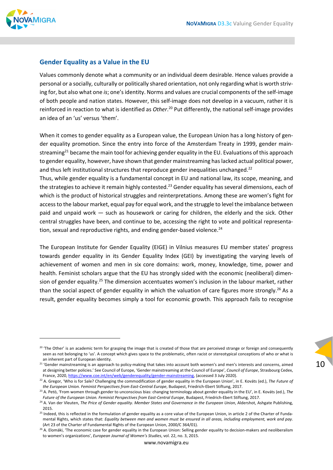

### **Gender Equality as a Value in the EU**

Values commonly denote what a community or an individual deem desirable. Hence values provide a personal or a socially, culturally or politically shared orientation, not only regarding what is worth striv‐ ing for, but also what one *is*; one's identity. Norms and values are crucial components of the self-image of both people and nation states. However, this self‐image does not develop in a vacuum, rather it is reinforced in reaction to what is identified as *Other*. <sup>20</sup> Put differently, the national self‐image provides an idea of an 'us' versus 'them'.

When it comes to gender equality as a European value, the European Union has a long history of gender equality promotion. Since the entry into force of the Amsterdam Treaty in 1999, gender main‐ streaming<sup>21</sup> became the main tool for achieving gender equality in the EU. Evaluations of this approach to gender equality, however, have shown that gender mainstreaming haslacked actual political power, and thus left institutional structures that reproduce gender inequalities unchanged. $22$ 

Thus, while gender equality is a fundamental concept in EU and national law, its scope, meaning, and the strategies to achieve it remain highly contested.<sup>23</sup> Gender equality has several dimensions, each of which is the product of historical struggles and reinterpretations. Among these are women's fight for accessto the labour market, equal pay for equal work, and the struggle to level the imbalance between paid and unpaid work — such as housework or caring for children, the elderly and the sick. Other central struggles have been, and continue to be, accessing the right to vote and political representa‐ tion, sexual and reproductive rights, and ending gender-based violence.<sup>24</sup>

The European Institute for Gender Equality (EIGE) in Vilnius measures EU member states' progress towards gender equality in its Gender Equality Index (GEI) by investigating the varying levels of achievement of women and men in six core domains: work, money, knowledge, time, power and health. Feminist scholars argue that the EU has strongly sided with the economic (neoliberal) dimension of gender equality.<sup>25</sup> The dimension accentuates women's inclusion in the labour market, rather than the social aspect of gender equality in which the valuation of care figures more strongly.<sup>26</sup> As a result, gender equality becomes simply a tool for economic growth. This approach fails to recognise

<sup>&</sup>lt;sup>20</sup> 'The Other' is an academic term for grasping the image that is created of those that are perceived strange or foreign and consequently seen as not belonging to 'us'. A concept which gives space to the problematic, often racist or stereotypical conceptions of who or what is an inherent part of European identity.

<sup>&</sup>lt;sup>21</sup> 'Gender mainstreaming is an approach to policy-making that takes into account both women's and men's interests and concerns, aimed at designing better policies.' See Council of Europe, 'Gender mainstreaming at the Council of Europe', *Council of Europe*, Strasbourg Cedex, France, 2020, https://www.coe.int/en/web/genderequality/gender-mainstreaming, (accessed 3 July 2020).

<sup>22</sup> A. Gregor, 'Who is for Sale? Challenging the commodification of gender equality in the European Union', in E. Kováts (ed.), *The Future of the European Union. Feminist Perspectives from East‐Central Europe*, Budapest, Friedrich‐Ebert Stiftung, 2017.

<sup>23</sup> A. Petö, 'From women through gender to unconscious bias: changing terminology about gender equality in the EU', in E. Kováts (ed.), *The Future of the European Union. Feminist Perspectives from East‐Central Europe*, Budapest, Friedrich‐Ebert Stiftung, 2017.

<sup>&</sup>lt;sup>24</sup> A. Van der Vleuten, The Price of Gender equality. Member States and Governance in the European Union, Aldershot, Ashgate Publishing, 2015.

<sup>&</sup>lt;sup>25</sup> Indeed, this is reflected in the formulation of gender equality as a core value of the European Union, in article 2 of the Charter of Fundamental Rights, which states that: Equality between men and women must be ensured in all areas, including employment, work and pay. (Art 23 of the Charter of Fundamental Rights of the European Union, 2000/C 364/01).

<sup>&</sup>lt;sup>26</sup> A. Elomäki, 'The economic case for gender equality in the European Union: Selling gender equality to decision-makers and neoliberalism to women's organizations', *European Journal of Women's Studies*, vol. 22, no. 3, 2015.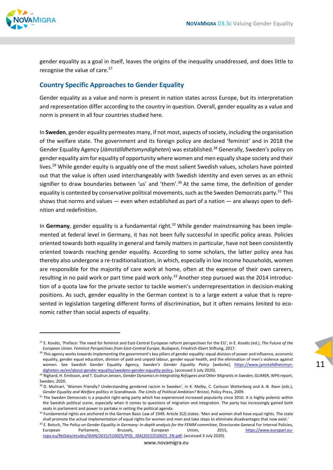

gender equality as a goal in itself, leaves the origins of the inequality unaddressed, and does little to recognise the value of care.<sup>27</sup>

### **Country Specific Approaches to Gender Equality**

Gender equality as a value and norm is present in nation states across Europe, but its interpretation and representation differ according to the country in question. Overall, gender equality as a value and norm is present in all four countries studied here.

In **Sweden**, gender equality permeates many, if not most, aspects of society, including the organisation of the welfare state. The government and its foreign policy are declared 'feminist' and in 2018 the Gender Equality Agency (*Jämställdhetsmyndigheten*) was established.28 Generally, Sweden's policy on gender equality aim for equality of opportunity where women and men equally shape society and their lives.<sup>29</sup> While gender equity is arguably one of the most salient Swedish values, scholars have pointed out that the value is often used interchangeably with Swedish identity and even serves as an ethnic signifier to draw boundaries between 'us' and 'them'.<sup>30</sup> At the same time, the definition of gender equality is contested by conservative political movements, such as the Sweden Democrats party.<sup>31</sup> This shows that norms and values — even when established as part of a nation — are always open to definition and redefinition.

In Germany, gender equality is a fundamental right.<sup>32</sup> While gender mainstreaming has been implemented at federal level in Germany, it has not been fully successful in specific policy areas. Policies oriented towards both equality in general and family matters in particular, have not been consistently oriented towards reaching gender equality. According to some scholars, the latter policy area has thereby also undergone a re‐traditionalization, in which, especially in low income households, women are responsible for the majority of care work at home, often at the expense of their own careers, resulting in no paid work or part time paid work only.<sup>33</sup> Another step pursued was the 2014 introduction of a quota law for the private sector to tackle women's underrepresentation in decision‐making positions. As such, gender equality in the German context is to a large extent a value that is repre‐ sented in legislation targeting different forms of discrimination, but it often remains limited to economic rather than social aspects of equality.

<sup>27</sup> E. Kováts, 'Preface: The need for feminist and East‐Central European reform perspectives for the EU', in E. Kováts (ed.), *The Future of the European Union. Feminist Perspectives from East‐Central Europe*, Budapest, Friedrich‐Ebert Stiftung, 2017.

<sup>&</sup>lt;sup>28</sup> This agency works towards implementing the government's key pillars of gender equality: equal division of power and influence, economic equality, gender equal education, division of paid and unpaid labour, gender equal health, and the elimination of men's violence against women. See Swedish Gender Equality Agency, *Sweden's Gender Equality Policy* [website], https://www.jamstalldhetsmyn‐ digheten.se/en/about-gender-equality/swedens-gender-equality-policy, (accessed 3 July 2020).

<sup>29</sup> Righard, H. Emilsson, and T. Gudrun Jensen, *Gender Dynamicsin Integrating Refugees and Other Migrantsin Sweden*, GLIMER, WP6 report, Sweden, 2020.

<sup>30</sup> D. Mulinari, 'Women friendly? Understanding gendered racism in Sweden', in K. Melby, C. Carlsson Wetterberg and A.-B. Ravn (eds.), *Gender Equality and Welfare politics in Scandinavia. The Limits of Political Ambition?* Bristol, Policy Press, 2009.

<sup>31</sup> The Sweden Democrats is a populist right-wing party which has experienced increased popularity since 2010. It is highly polemic within the Swedish political scene, especially when it comes to questions of migration and integration. The party has increasingly gained both seats in parliament and power to partake in setting the political agenda.

 $32$  Fundamental rights are anchored in the German Basic Law of 1949. Article 3(2) states: 'Men and women shall have equal rights. The state shall promote the actual implementation of equal rights for women and men and take steps to eliminate disadvantages that now exist.'

<sup>&</sup>lt;sup>33</sup> E. Botsch, The Policy on Gender Equality in Germany: In-depth analysis for the FEMM committee, Directorate General For Internal Policies, European Parliament, Brussels, European Union, 2015, https://www.europarl.europa.eu/ReData/etudes/IDAN/2015/510025/IPOL\_IDA(2015)510025\_EN.pdf, (accessed 3 July 2020).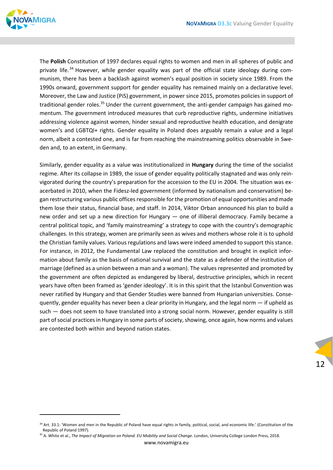

The **Polish** Constitution of 1997 declares equal rights to women and men in all spheres of public and private life.<sup>34</sup> However, while gender equality was part of the official state ideology during communism, there has been a backlash against women's equal position in society since 1989. From the 1990s onward, government support for gender equality has remained mainly on a declarative level. Moreover, the Law and Justice (PiS) government, in power since 2015, promotes policies in support of traditional gender roles.<sup>35</sup> Under the current government, the anti-gender campaign has gained momentum. The government introduced measures that curb reproductive rights, undermine initiatives addressing violence against women, hinder sexual and reproductive health education, and denigrate women's and LGBTQI+ rights. Gender equality in Poland does arguably remain a value and a legal norm, albeit a contested one, and is far from reaching the mainstreaming politics observable in Sweden and, to an extent, in Germany.

Similarly, gender equality as a value was institutionalized in **Hungary** during the time of the socialist regime. After its collapse in 1989, the issue of gender equality politically stagnated and was only rein‐ vigorated during the country's preparation for the accession to the EU in 2004. The situation was ex‐ acerbated in 2010, when the Fidesz-led government (informed by nationalism and conservatism) began restructuring various public offices responsible for the promotion of equal opportunities and made them lose their status, financial base, and staff. In 2014, Viktor Orban announced his plan to build a new order and set up a new direction for Hungary — one of illiberal democracy. Family became a central political topic, and 'family mainstreaming' a strategy to cope with the country's demographic challenges. In this strategy, women are primarily seen as wives and mothers whose role it is to uphold the Christian family values. Various regulations and laws were indeed amended to support this stance. For instance, in 2012, the Fundamental Law replaced the constitution and brought in explicit information about family as the basis of national survival and the state as a defender of the institution of marriage (defined as a union between a man and a woman). The values represented and promoted by the government are often depicted as endangered by liberal, destructive principles, which in recent years have often been framed as 'gender ideology'. It is in this spirit that the Istanbul Convention was never ratified by Hungary and that Gender Studies were banned from Hungarian universities. Conse‐ quently, gender equality has never been a clear priority in Hungary, and the legal norm — if upheld as such — does not seem to have translated into a strong social norm. However, gender equality is still part of social practices in Hungary in some parts of society, showing, once again, how norms and values are contested both within and beyond nation states.

<sup>&</sup>lt;sup>34</sup> Art. 33.1: 'Women and men in the Republic of Poland have equal rights in family, political, social, and economic life.' (Constitution of the Republic of Poland 1997).

<sup>35</sup> A. White et al., *The Impact of Migration on Poland. EU Mobility and Social Change*. London, University College London Press, 2018.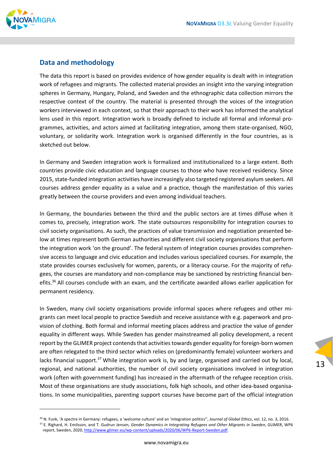

### **Data and methodology**

The data this report is based on provides evidence of how gender equality is dealt with in integration work of refugees and migrants. The collected material provides an insight into the varying integration spheres in Germany, Hungary, Poland, and Sweden and the ethnographic data collection mirrors the respective context of the country. The material is presented through the voices of the integration workers interviewed in each context, so that their approach to their work has informed the analytical lens used in this report. Integration work is broadly defined to include all formal and informal programmes, activities, and actors aimed at facilitating integration, among them state‐organised, NGO, voluntary, or solidarity work. Integration work is organised differently in the four countries, as is sketched out below.

In Germany and Sweden integration work is formalized and institutionalized to a large extent. Both countries provide civic education and language courses to those who have received residency. Since 2015, state-funded integration activities have increasingly also targeted registered asylum seekers. All courses address gender equality as a value and a practice, though the manifestation of this varies greatly between the course providers and even among individual teachers.

In Germany, the boundaries between the third and the public sectors are at times diffuse when it comes to, precisely, integration work. The state outsources responsibility for integration courses to civil society organisations. As such, the practices of value transmission and negotiation presented be‐ low at times represent both German authorities and different civil society organisations that perform the integration work 'on the ground'. The federal system of integration courses provides comprehen‐ sive access to language and civic education and includes various specialized courses. For example, the state provides courses exclusively for women, parents, or a literacy course. For the majority of refu‐ gees, the courses are mandatory and non-compliance may be sanctioned by restricting financial benefits.<sup>36</sup> All courses conclude with an exam, and the certificate awarded allows earlier application for permanent residency.

In Sweden, many civil society organisations provide informal spaces where refugees and other mi‐ grants can meet local people to practice Swedish and receive assistance with e.g. paperwork and pro‐ vision of clothing. Both formal and informal meeting places address and practice the value of gender equality in different ways. While Sweden has gender mainstreamed all policy development, a recent report by the GLIMER project contends that activities towards gender equality for foreign-born women are often relegated to the third sector which relies on (predominantly female) volunteer workers and lacks financial support.<sup>37</sup> While integration work is, by and large, organised and carried out by local, regional, and national authorities, the number of civil society organisations involved in integration work (often with government funding) has increased in the aftermath of the refugee reception crisis. Most of these organisations are study associations, folk high schools, and other idea-based organisations. In some municipalities, parenting support courses have become part of the official integration

<sup>36</sup> N. Funk, 'A spectre in Germany: refugees, a 'welcome culture' and an 'integration politics'', *Journal of Global Ethics*, vol. 12, no. 3, 2016. <sup>37</sup> E. Righard, H. Emilsson, and T. Gudrun Jensen, *Gender Dynamics in Integrating Refugees and Other Migrants in Sweden*, GLIMER, WP6

report, Sweden, 2020, http://www.glimer.eu/wp‐content/uploads/2020/06/WP6‐Report‐Sweden.pdf.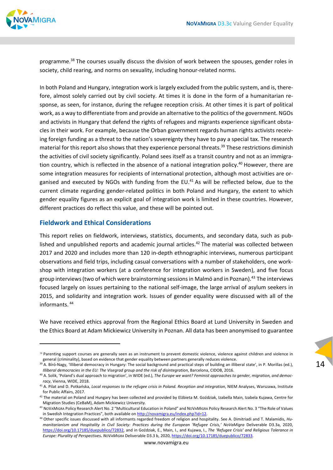

programme.<sup>38</sup> The courses usually discuss the division of work between the spouses, gender roles in society, child rearing, and norms on sexuality, including honour-related norms.

In both Poland and Hungary, integration work is largely excluded from the public system, and is, therefore, almost solely carried out by civil society. At times it is done in the form of a humanitarian response, as seen, for instance, during the refugee reception crisis. At other times it is part of political work, as a way to differentiate from and provide an alternative to the politics of the government. NGOs and activists in Hungary that defend the rights of refugees and migrants experience significant obstacles in their work. For example, because the Orban government regards human rights activists receiving foreign funding as a threat to the nation's sovereignty they have to pay a special tax. The research material for this report also shows that they experience personal threats.<sup>39</sup> These restrictions diminish the activities of civil society significantly. Poland sees itself as a transit country and not as an immigration country, which is reflected in the absence of a national integration policy.<sup>40</sup> However, there are some integration measures for recipients of international protection, although most activities are organised and executed by NGOs with funding from the EU. $41$  As will be reflected below, due to the current climate regarding gender‐related politics in both Poland and Hungary, the extent to which gender equality figures as an explicit goal of integration work is limited in these countries. However, different practices do reflect this value, and these will be pointed out.

### **Fieldwork and Ethical Considerations**

This report relies on fieldwork, interviews, statistics, documents, and secondary data, such as pub‐ lished and unpublished reports and academic journal articles.<sup>42</sup> The material was collected between 2017 and 2020 and includes more than 120 in-depth ethnographic interviews, numerous participant observations and field trips, including casual conversations with a number of stakeholders, one work‐ shop with integration workers (at a conference for integration workers in Sweden), and five focus group interviews (two of which were brainstorming sessions in Malmö and in Poznan).<sup>43</sup> The interviews focused largely on issues pertaining to the national self-image, the large arrival of asylum seekers in 2015, and solidarity and integration work. Issues of gender equality were discussed with all of the informants. <sup>44</sup>

We have received ethics approval from the Regional Ethics Board at Lund University in Sweden and the Ethics Board at Adam Mickiewicz University in Poznan. All data has been anonymised to guarantee

<sup>38</sup> Parenting support courses are generally seen as an instrument to prevent domestic violence, violence against children and violence in general (criminality), based on evidence that gender equality between partners generally reduces violence.

<sup>&</sup>lt;sup>39</sup> A. Bíró-Nagy, 'Illiberal democracy in Hungary: The social background and practical steps of building an illiberal state', in P. Morillas (ed.), *Illiberal democracies in the EU: The Visegrad group and the risk of disintegration*, Barcelona, CIDOB, 2016.

<sup>40</sup> A. Solik, 'Poland's dual approach to migration', in WIDE (ed.), *The Europe we want? Feminist approaches to gender, migration, and democ‐ racy*, Vienna, WIDE, 2018.

<sup>41</sup> A. Pilat and D. Potkańska, *Local responses to the refugee crisis in Poland. Reception and integration*, NIEM Analyses, Warszawa, Institute for Public Affairs, 2017.

<sup>&</sup>lt;sup>42</sup> The material on Poland and Hungary has been collected and provided by Elżbieta M. Goździak, Izabella Main, Izabela Kujawa, Centre for Migration Studies (CeBaM), Adam Mickiewicz University.

<sup>43</sup> NOVAMIGRA Policy Research Alert No. 2 "Multicultural Education in Poland" and NOVAMIGRA Policy Research Alert No. 3 "The Role of Values in Swedish Integration Practices", both available on http://novamigra.eu/index.php?id=12.

<sup>44</sup> Other specific issues discussed with all informants regarded freedom of religion and hospitality. See A. Dimitriadi and T. Malamidis, *Hu‐ manitarianism and Hospitality in Civil Society: Practices during the European 'Refugee Crisis,' NoVaMigra* Deliverable D3.3a, 2020, https://doi.org/10.17185/duepublico/72832, and in Goździak, E., Main, I., and Kujawa, I., *The 'Refugee Crisis' and Religious Tolerance in Europe: Plurality of Perspectives. NOVAMIGRA* Deliverable D3.3 b, 2020, https://doi.org/10.17185/duepublico/72833.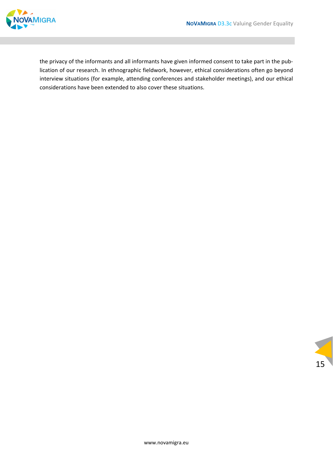

the privacy of the informants and all informants have given informed consent to take part in the pub‐ lication of our research. In ethnographic fieldwork, however, ethical considerations often go beyond interview situations (for example, attending conferences and stakeholder meetings), and our ethical considerations have been extended to also cover these situations.

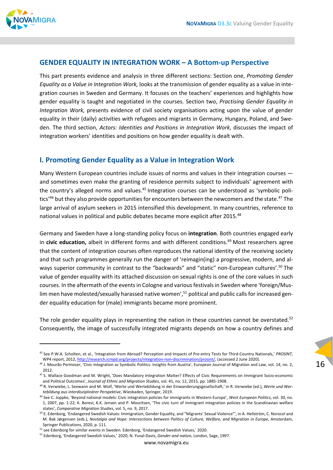

### **GENDER EQUALITY IN INTEGRATION WORK – A Bottom‐up Perspective**

This part presents evidence and analysis in three different sections: Section one, *Promoting Gender Equality as a Value in Integration Work,* looks at the transmission of gender equality as a value in inte‐ gration courses in Sweden and Germany. It focuses on the teachers' experiences and highlights how gender equality is taught and negotiated in the courses. Section two, *Practising Gender Equality in Integration Work,* presents evidence of civil society organisations acting upon the value of gender equality in their (daily) activities with refugees and migrants in Germany, Hungary, Poland, and Swe‐ den. The third section, *Actors: Identities and Positions in Integration Work*, discusses the impact of integration workers' identities and positions on how gender equality is dealt with.

### **I. Promoting Gender Equality as a Value in Integration Work**

Many Western European countries include issues of norms and values in their integration courses and sometimes even make the granting of residence permits subject to individuals' agreement with the country's alleged norms and values.<sup>45</sup> Integration courses can be understood as 'symbolic politics<sup>'46</sup> but they also provide opportunities for encounters between the newcomers and the state.<sup>47</sup> The large arrival of asylum seekers in 2015 intensified this development. In many countries, reference to national values in political and public debates became more explicit after 2015.<sup>48</sup>

Germany and Sweden have a long‐standing policy focus on **integration**. Both countries engaged early in **civic education,** albeit in different forms and with different conditions.49 Most researchers agree that the content of integration courses often reproduces the national identity of the receiving society and that such programmes generally run the danger of 'reimagin(ing) a progressive, modern, and always superior community in contrast to the "backwards" and "static" non-European cultures'.<sup>50</sup> The value of gender equality with its attached discussion on sexual rights is one of the core values in such courses. In the aftermath of the events in Cologne and various festivals in Sweden where 'foreign/Muslim men have molested/sexually harassed native women',<sup>51</sup> political and public calls for increased gender equality education for (male) immigrants became more prominent.

The role gender equality plays in representing the nation in these countries cannot be overstated. $52$ Consequently, the image of successfully integrated migrants depends on how a country defines and

<sup>45</sup> See P.W.A. Scholten, et al., 'Integration from Abroad? Perception and Impacts of Pre‐entry Tests for Third‐Country Nationals,' *PROSINT,* WP4 report, 2012, http://research.icmpd.org/projects/integration-non-discrimination/prosint/, (accessed 2 June 2020).

<sup>&</sup>lt;sup>46</sup> J. Mourão Permoser, 'Civic Integration as Symbolic Politics: Insights from Austria', European Journal of Migration and Law, vol. 14, no. 2, 2012.

<sup>47</sup> S. Wallace Goodman and M. Wright, 'Does Mandatory Integration Matter? Effects of Civic Requirements on Immigrant Socio-economic and Political Outcomes', *Journal of Ethnic and Migration Studies*, vol. 41, no. 12, 2015, pp. 1885‐1908.

<sup>48</sup> R. Verwiebe, L. Seewann and M. Wolf, 'Werte und Wertebildung in der Einwanderungsgesellschaft,' in R. Verwiebe (ed.), *Werte und Wer‐ tebildung aus interdisziplinärer Perspektive*, Wiesbaden, Springer, 2019.

<sup>49</sup> See C. Joppke, 'Beyond national models: Civic integration policies for immigrants in Western Europe', *West European Politics*, vol. 30, no. 1, 2007, pp. 1‐22; K. Borevi, K.K. Jensen and P. Mouritsen, 'The civic turn of immigrant integration policies in the Scandinavian welfare states', *Comparative Migration Studies*, vol. 5, no. 9, 2017.

<sup>&</sup>lt;sup>50</sup> E. Edenborg, 'Endangered Swedish Values: Immigration, Gender Equality, and "Migrants' Sexual Violence"', in A. Hellström, C. Norocel and M. Bak Jørgensen (eds.), *Nostalgia and Hope: Intersections between Politics of Culture, Welfare, and Migration in Europe*, Amsterdam, Springer Publications, 2020, p. 111.

<sup>&</sup>lt;sup>51</sup> see Edenborg for similar events in Sweden. Edenborg, 'Endangered Swedish Values,' 2020.

<sup>52</sup> Edenborg, 'Endangered Swedish Values,' 2020; N. Yuval‐Davis, *Gender and nation*, London, Sage, 1997.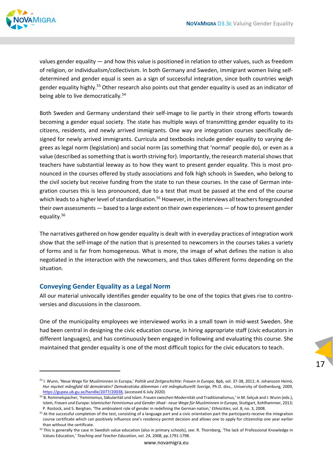

values gender equality — and how this value is positioned in relation to other values, such as freedom of religion, or individualism/collectivism. In both Germany and Sweden, immigrant women living self‐ determined and gender equal is seen as a sign of successful integration, since both countries weigh gender equality highly.<sup>53</sup> Other research also points out that gender equality is used as an indicator of being able to live democratically.<sup>54</sup>

Both Sweden and Germany understand their self‐image to lie partly in their strong efforts towards becoming a gender equal society. The state has multiple ways of transmitting gender equality to its citizens, residents, and newly arrived immigrants. One way are integration courses specifically de‐ signed for newly arrived immigrants. Curricula and textbooks include gender equality to varying de‐ grees as legal norm (legislation) and social norm (as something that 'normal' people do), or even as a value (described as something that is worth striving for). Importantly, the research material shows that teachers have substantial leeway as to how they want to present gender equality. This is most pro‐ nounced in the courses offered by study associations and folk high schools in Sweden, who belong to the civil society but receive funding from the state to run these courses. In the case of German inte‐ gration courses this is less pronounced, due to a test that must be passed at the end of the course which leads to a higher level of standardisation.<sup>55</sup> However, in the interviews all teachers foregrounded their *own* assessments — based to a large extent on their *own* experiences — of how to present gender equality.56

The narratives gathered on how gender equality is dealt with in everyday practices of integration work show that the self-image of the nation that is presented to newcomers in the courses takes a variety of forms and is far from homogeneous. What is more, the image of what defines the nation is also negotiated in the interaction with the newcomers, and thus takes different forms depending on the situation.

#### **Conveying Gender Equality as a Legal Norm**

All our material univocally identifies gender equality to be one of the topics that gives rise to controversies and discussions in the classroom.

One of the municipality employees we interviewed works in a small town in mid‐west Sweden. She had been central in designing the civic education course, in hiring appropriate staff (civic educators in different languages), and has continuously been engaged in following and evaluating this course. She maintained that gender equality is one of the most difficult topics for the civic educators to teach.

<sup>53</sup> I. Wunn, 'Neue Wege für Musliminnen in Europa,' *Politik und Zeitgeschichte: Frauen in Europa*, Bpb, vol. 37‐38, 2011; A. Johansson Heinö, *Hur mycket mångfald tål demokratin? Demokratiska dilemman i ett mångkulturellt Sverige*, Ph.D. diss., University of Gothenburg, 2009, https://gupea.ub.gu.se/handle/2077/20038, (accessed 6 July 2020).

<sup>&</sup>lt;sup>54</sup> B. Rommelspacher, 'Feminismus, Säkularität und Islam. Frauen zwischen Modernität und Traditionalismus,' in M. Selçuk and I. Wunn (eds.), Islam, Frauen und Europa: Islamischer Feminismus und Gender Jihad - neue Wege für Musliminnen in Europa, Stuttgart, Kohlhammer, 2013; P. Rostock, and S. Berghan, 'The ambivalent role of gender in redefining the German nation,' *Ethnicities*, vol. 8, no. 3, 2008.

<sup>&</sup>lt;sup>55</sup> At the successful completion of the test, consisting of a language part and a civic orientation part the participants receive the integration course certificate which can positively influence one's residency permit decision and allows one to apply for citizenship one year earlier than without the certificate.

<sup>&</sup>lt;sup>56</sup> This is generally the case in Swedish value education (also in primary schools), see: R. Thornberg, 'The lack of Professional Knowledge in Values Education,' *Teaching and Teacher Education*, vol. 24, 2008, pp.1791‐1798.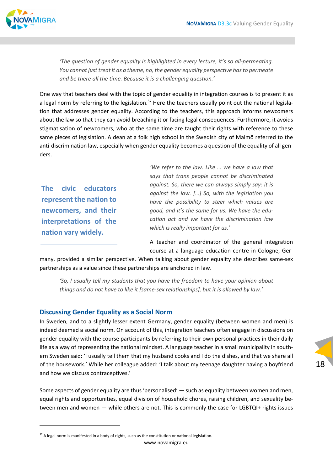

*'The question of gender equality is highlighted in every lecture, it's so all‐permeating. You cannot just treat it as a theme, no, the gender equality perspective hasto permeate and be there all the time. Because it is a challenging question.'*

One way that teachers deal with the topic of gender equality in integration courses is to present it as a legal norm by referring to the legislation.<sup>57</sup> Here the teachers usually point out the national legislation that addresses gender equality. According to the teachers, this approach informs newcomers about the law so that they can avoid breaching it or facing legal consequences. Furthermore, it avoids stigmatisation of newcomers, who at the same time are taught their rights with reference to these same pieces of legislation. A dean at a folk high school in the Swedish city of Malmö referred to the anti-discrimination law, especially when gender equality becomes a question of the equality of all genders.

**The civic educators represent the nation to newcomers, and their interpretations of the nation vary widely.**

*'We refer to the law. Like … we have a law that says that trans people cannot be discriminated against. So, there we can always simply say: it is against the law. […] So, with the legislation you have the possibility to steer which values are good, and it's the same for us. We have the edu‐ cation act and we have the discrimination law which is really important for us.'* 

A teacher and coordinator of the general integration course at a language education centre in Cologne, Ger‐

18

many, provided a similar perspective. When talking about gender equality she describes same‐sex partnerships as a value since these partnerships are anchored in law.

*'So, I usually tell my students that you have the freedom to have your opinion about things and do not have to like it [same‐sex relationships], but it is allowed by law.'*

### **Discussing Gender Equality as a Social Norm**

In Sweden, and to a slightly lesser extent Germany, gender equality (between women and men) is indeed deemed a social norm. On account of this, integration teachers often engage in discussions on gender equality with the course participants by referring to their own personal practices in their daily life as a way of representing the national mindset. A language teacher in a small municipality in south‐ ern Sweden said: 'I usually tell them that my husband cooks and I do the dishes, and that we share all of the housework.' While her colleague added: 'I talk about my teenage daughter having a boyfriend and how we discuss contraceptives.'

Some aspects of gender equality are thus 'personalised' — such as equality between women and men, equal rights and opportunities, equal division of household chores, raising children, and sexuality between men and women — while others are not. This is commonly the case for LGBTQI+ rights issues

www.novamigra.eu

<sup>&</sup>lt;sup>57</sup> A legal norm is manifested in a body of rights, such as the constitution or national legislation.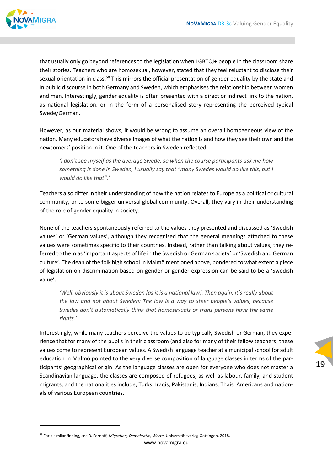

that usually only go beyond references to the legislation when LGBTQI+ people in the classroom share their stories. Teachers who are homosexual, however, stated that they feel reluctant to disclose their sexual orientation in class.<sup>58</sup> This mirrors the official presentation of gender equality by the state and in public discourse in both Germany and Sweden, which emphasises the relationship between women and men. Interestingly, gender equality is often presented with a direct or indirect link to the nation, as national legislation, or in the form of a personalised story representing the perceived typical Swede/German.

However, as our material shows, it would be wrong to assume an overall homogeneous view of the nation. Many educators have diverse images of what the nation is and how they see their own and the newcomers' position in it. One of the teachers in Sweden reflected:

*'I don't see myself as the average Swede, so when the course participants ask me how something is done in Sweden, I usually say that "many Swedes would do like this, but I would do like that".'*

Teachers also differ in their understanding of how the nation relates to Europe as a political or cultural community, or to some bigger universal global community. Overall, they vary in their understanding of the role of gender equality in society.

None of the teachers spontaneously referred to the values they presented and discussed as 'Swedish values' or 'German values', although they recognised that the general meanings attached to these values were sometimes specific to their countries. Instead, rather than talking about values, they re‐ ferred to them as'important aspects of life in the Swedish or German society' or 'Swedish and German culture'. The dean of the folk high school in Malmö mentioned above, pondered to what extent a piece of legislation on discrimination based on gender or gender expression can be said to be a 'Swedish value':

*'Well, obviously it is about Sweden [as it is a national law]. Then again, it's really about the law and not about Sweden: The law is a way to steer people's values, because Swedes don't automatically think that homosexuals or trans persons have the same rights.'*

Interestingly, while many teachers perceive the values to be typically Swedish or German, they expe‐ rience that for many of the pupils in their classroom (and also for many of their fellow teachers) these values come to represent European values. A Swedish language teacher at a municipal school for adult education in Malmö pointed to the very diverse composition of language classes in terms of the par‐ ticipants' geographical origin. As the language classes are open for everyone who does not master a Scandinavian language, the classes are composed of refugees, as well as labour, family, and student migrants, and the nationalities include, Turks, Iraqis, Pakistanis, Indians, Thais, Americans and nation‐ als of various European countries.

<sup>58</sup> For a similar finding, see R. Fornoff, *Migration, Demokratie, Werte*, Universitätsverlag Göttingen, 2018.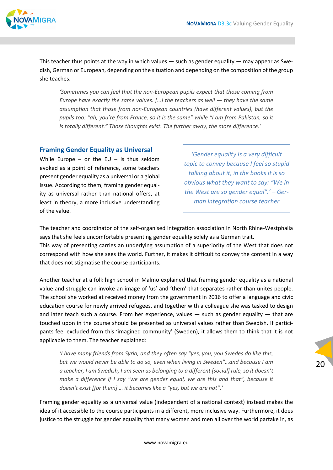

This teacher thus points at the way in which values — such as gender equality — may appear as Swe‐ dish, German or European, depending on the situation and depending on the composition of the group she teaches.

*'Sometimes you can feel that the non‐European pupils expect that those coming from Europe have exactly the same values. […] the teachers as well — they have the same assumption that those from non‐European countries (have different values), but the pupils too: "ah, you're from France, so it is the same" while "I am from Pakistan, so it is totally different." Those thoughts exist. The further away, the more difference.'*

### **Framing Gender Equality as Universal**

While Europe – or the EU – is thus seldom evoked as a point of reference, some teachers present gender equality as a universal or a global issue. According to them, framing gender equal‐ ity as universal rather than national offers, at least in theory, a more inclusive understanding of the value.

*'Gender equality is a very difficult topic to convey because I feel so stupid talking about it, in the books it is so obvious what they want to say: "We in the West are so gender equal".' – Ger‐ man integration course teacher*

The teacher and coordinator of the self‐organised integration association in North Rhine‐Westphalia says that she feels uncomfortable presenting gender equality solely as a German trait. This way of presenting carries an underlying assumption of a superiority of the West that does not

correspond with how she sees the world. Further, it makes it difficult to convey the content in a way that does not stigmatise the course participants.

Another teacher at a folk high school in Malmö explained that framing gender equality as a national value and struggle can invoke an image of 'us' and 'them' that separates rather than unites people. The school she worked at received money from the government in 2016 to offer a language and civic education course for newly arrived refugees, and together with a colleague she was tasked to design and later teach such a course. From her experience, values — such as gender equality — that are touched upon in the course should be presented as universal values rather than Swedish. If participants feel excluded from this 'imagined community' (Sweden), it allows them to think that it is not applicable to them. The teacher explained:

*'I have many friends from Syria, and they often say "yes, you, you Swedes do like this, but we would never be able to do so, even when living in Sweden"…and because I am a teacher, I am Swedish, I am seen as belonging to a different [social] rule, so it doesn't make a difference if I say "we are gender equal, we are this and that", because it doesn't exist [for them] … it becomes like a "yes, but we are not".'*

Framing gender equality as a universal value (independent of a national context) instead makes the idea of it accessible to the course participants in a different, more inclusive way. Furthermore, it does justice to the struggle for gender equality that many women and men all over the world partake in, as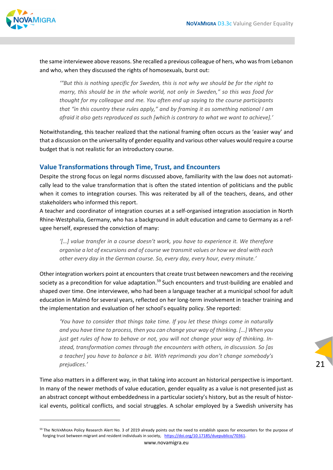

the same interviewee above reasons. She recalled a previous colleague of hers, who wasfrom Lebanon and who, when they discussed the rights of homosexuals, burst out:

*'"But this is nothing specific for Sweden, this is not why we should be for the right to marry, this should be in the whole world, not only in Sweden," so this was food for thought for my colleague and me. You often end up saying to the course participants that "in this country these rules apply," and by framing it as something national I am afraid it also gets reproduced as such [which is contrary to what we want to achieve].'*

Notwithstanding, this teacher realized that the national framing often occurs as the 'easier way' and that a discussion on the universality of gender equality and various other values would require a course budget that is not realistic for an introductory course.

### **Value Transformations through Time, Trust, and Encounters**

Despite the strong focus on legal norms discussed above, familiarity with the law does not automatically lead to the value transformation that is often the stated intention of politicians and the public when it comes to integration courses. This was reiterated by all of the teachers, deans, and other stakeholders who informed this report.

A teacher and coordinator of integration courses at a self‐organised integration association in North Rhine‐Westphalia, Germany, who has a background in adult education and came to Germany as a ref‐ ugee herself, expressed the conviction of many:

*'[…] value transfer in a course doesn't work, you have to experience it. We therefore organise a lot of excursions and of course we transmit values or how we deal with each other every day in the German course. So, every day, every hour, every minute.'*

Other integration workers point at encounters that create trust between newcomers and the receiving society as a precondition for value adaptation.<sup>59</sup> Such encounters and trust-building are enabled and shaped over time. One interviewee, who had been a language teacher at a municipal school for adult education in Malmö for several years, reflected on her long‐term involvement in teacher training and the implementation and evaluation of her school's equality policy. She reported:

*'You have to consider that things take time. If you let these things come in naturally and you have time to process, then you can change your way of thinking. […] When you just get rules of how to behave or not, you will not change your way of thinking. In‐ stead, transformation comes through the encounters with others, in discussion. So [as a teacher] you have to balance a bit. With reprimands you don't change somebody's prejudices.'*

Time also matters in a different way, in that taking into account an historical perspective is important. In many of the newer methods of value education, gender equality as a value is not presented just as an abstract concept without embeddedness in a particular society's history, but as the result of historical events, political conflicts, and social struggles. A scholar employed by a Swedish university has

<sup>&</sup>lt;sup>59</sup> The NOVAMIGRA Policy Research Alert No. 3 of 2019 already points out the need to establish spaces for encounters for the purpose of forging trust between migrant and resident individuals in society, https://doi.org/10.17185/duepublico/70361.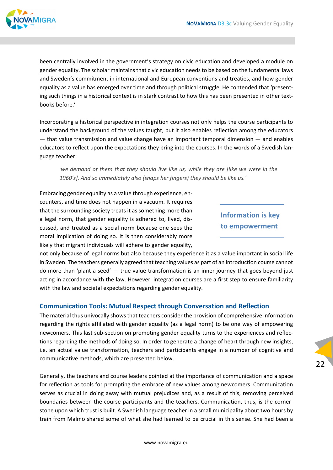

been centrally involved in the government's strategy on civic education and developed a module on gender equality. The scholar maintains that civic education needs to be based on the fundamental laws and Sweden's commitment in international and European conventions and treaties, and how gender equality as a value has emerged over time and through political struggle. He contended that 'presenting such things in a historical context is in stark contrast to how this has been presented in other textbooks before.'

Incorporating a historical perspective in integration courses not only helps the course participants to understand the background of the values taught, but it also enables reflection among the educators — that value transmission and value change have an important temporal dimension — and enables educators to reflect upon the expectations they bring into the courses. In the words of a Swedish lan‐ guage teacher:

*'we demand of them that they should live like us, while they are [like we were in the 1960's]. And so immediately also (snaps her fingers) they should be like us.'*

Embracing gender equality as a value through experience, en‐ counters, and time does not happen in a vacuum. It requires that the surrounding society treats it as something more than a legal norm, that gender equality is adhered to, lived, dis‐ cussed, and treated as a social norm because one sees the moral implication of doing so. It is then considerably more likely that migrant individuals will adhere to gender equality,

**Information is key to empowerment**

not only because of legal norms but also because they experience it as a value important in social life in Sweden. The teachers generally agreed that teaching values as part of an introduction course cannot do more than 'plant a seed' — true value transformation is an inner journey that goes beyond just acting in accordance with the law. However, integration courses are a first step to ensure familiarity with the law and societal expectations regarding gender equality.

#### **Communication Tools: Mutual Respect through Conversation and Reflection**

The material thus univocally showsthat teachers consider the provision of comprehensive information regarding the rights affiliated with gender equality (as a legal norm) to be one way of empowering newcomers. This last sub-section on promoting gender equality turns to the experiences and reflections regarding the methods of doing so. In order to generate a change of heart through new insights, i.e. an actual value transformation, teachers and participants engage in a number of cognitive and communicative methods, which are presented below.

Generally, the teachers and course leaders pointed at the importance of communication and a space for reflection as tools for prompting the embrace of new values among newcomers. Communication serves as crucial in doing away with mutual prejudices and, as a result of this, removing perceived boundaries between the course participants and the teachers. Communication, thus, is the corner‐ stone upon which trust is built. A Swedish language teacher in a small municipality about two hours by train from Malmö shared some of what she had learned to be crucial in this sense. She had been a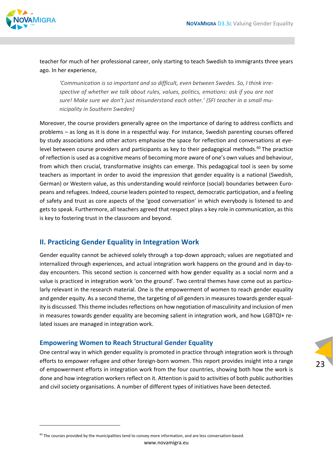

teacher for much of her professional career, only starting to teach Swedish to immigrants three years ago. In her experience,

*'Communication is so important and so difficult, even between Swedes. So, I think irre‐ spective of whether we talk about rules, values, politics, emotions: ask if you are not sure! Make sure we don't just misunderstand each other.' (SFI teacher in a small mu‐ nicipality in Southern Sweden)*

Moreover, the course providers generally agree on the importance of daring to address conflicts and problems – as long as it is done in a respectful way. For instance, Swedish parenting courses offered by study associations and other actors emphasise the space for reflection and conversations at eyelevel between course providers and participants as key to their pedagogical methods. $60$  The practice of reflection is used as a cognitive means of becoming more aware of one's own values and behaviour, from which then crucial, transformative insights can emerge. This pedagogical tool is seen by some teachers as important in order to avoid the impression that gender equality is a national (Swedish, German) or Western value, as this understanding would reinforce (social) boundaries between Euro‐ peans and refugees. Indeed, course leaders pointed to respect, democratic participation, and a feeling of safety and trust as core aspects of the 'good conversation' in which everybody is listened to and gets to speak. Furthermore, all teachers agreed that respect plays a key role in communication, as this is key to fostering trust in the classroom and beyond.

### **II. Practicing Gender Equality in Integration Work**

Gender equality cannot be achieved solely through a top-down approach; values are negotiated and internalized through experiences, and actual integration work happens on the ground and in day-today encounters. This second section is concerned with how gender equality as a social norm and a value is practiced in integration work 'on the ground'. Two central themes have come out as particularly relevant in the research material. One is the empowerment of women to reach gender equality and gender equity. As a second theme, the targeting of *all* genders in measures towards gender equality is discussed. This theme includes reflections on how negotiation of masculinity and inclusion of men in measures towards gender equality are becoming salient in integration work, and how LGBTQI+ related issues are managed in integration work.

#### **Empowering Women to Reach Structural Gender Equality**

One central way in which gender equality is promoted in practice through integration work is through efforts to empower refugee and other foreign-born women. This report provides insight into a range of empowerment efforts in integration work from the four countries, showing both how the work is done and how integration workers reflect on it. Attention is paid to activities of both public authorities and civil society organisations. A number of different types of initiatives have been detected.

 $60$  The courses provided by the municipalities tend to convey more information, and are less conversation-based.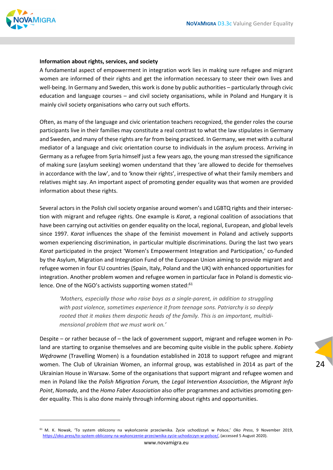

#### **Information about rights, services, and society**

A fundamental aspect of empowerment in integration work lies in making sure refugee and migrant women are informed of their rights and get the information necessary to steer their own lives and well-being. In Germany and Sweden, this work is done by public authorities – particularly through civic education and language courses – and civil society organisations, while in Poland and Hungary it is mainly civil society organisations who carry out such efforts.

Often, as many of the language and civic orientation teachers recognized, the gender roles the course participants live in their families may constitute a real contrast to what the law stipulates in Germany and Sweden, and many of these rights are far from being practiced. In Germany, we met with a cultural mediator of a language and civic orientation course to individuals in the asylum process. Arriving in Germany as a refugee from Syria himself just a few years ago, the young man stressed the significance of making sure (asylum seeking) women understand that they 'are allowed to decide for themselves in accordance with the law', and to 'know their rights', irrespective of what their family members and relatives might say. An important aspect of promoting gender equality was that women are provided information about these rights.

Several actors in the Polish civil society organise around women's and LGBTQ rights and their intersec‐ tion with migrant and refugee rights. One example is *Karat*, a regional coalition of associations that have been carrying out activities on gender equality on the local, regional, European, and global levels since 1997. *Karat* influences the shape of the feminist movement in Poland and actively supports women experiencing discrimination, in particular multiple discriminations. During the last two years *Karat* participated in the project 'Women's Empowerment Integration and Participation,' co‐funded by the Asylum, Migration and Integration Fund of the European Union aiming to provide migrant and refugee women in four EU countries (Spain, Italy, Poland and the UK) with enhanced opportunities for integration. Another problem women and refugee women in particular face in Poland is domestic vio‐ lence. One of the NGO's activists supporting women stated:<sup>61</sup>

*'Mothers, especially those who raise boys as a single‐parent, in addition to struggling with past violence, sometimes experience it from teenage sons. Patriarchy is so deeply rooted that it makes them despotic heads of the family. This is an important, multidi‐ mensional problem that we must work on.'*

Despite – or rather because of – the lack of government support, migrant and refugee women in Poland are starting to organise themselves and are becoming quite visible in the public sphere. *Kobiety Wędrowne* (Travelling Women) is a foundation established in 2018 to support refugee and migrant women. The Club of Ukrainian Women, an informal group, was established in 2014 as part of the Ukrainian House in Warsaw. Some of the organisations that support migrant and refugee women and men in Poland like the *Polish Migration Forum,* the *Legal Intervention Association*, the *Migrant Info Point*, *Nomada*, and the *Homo Faber Association* also offer programmes and activities promoting gen‐ der equality. This is also done mainly through informing about rights and opportunities.

<sup>61</sup> M. K. Nowak, 'To system obliczony na wykończenie przeciwnika. Życie uchodźczyń w Polsce,' *Oko Press*, 9 November 2019, https://oko.press/to-system-obliczony-na-wykonczenie-przeciwnika-zycie-uchodzczyn-w-polsce/, (accessed 5 August 2020).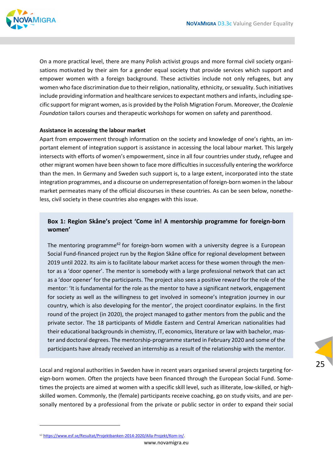

On a more practical level, there are many Polish activist groups and more formal civil society organi‐ sations motivated by their aim for a gender equal society that provide services which support and empower women with a foreign background. These activities include not only refugees, but any women who face discrimination due to their religion, nationality, ethnicity, or sexuality. Such initiatives include providing information and healthcare services to expectant mothers and infants, including specific support for migrant women, asis provided by the Polish Migration Forum. Moreover, the *Ocalenie Foundation* tailors courses and therapeutic workshops for women on safety and parenthood.

#### **Assistance in accessing the labour market**

Apart from empowerment through information on the society and knowledge of one's rights, an im‐ portant element of integration support is assistance in accessing the local labour market. This largely intersects with efforts of women's empowerment, since in all four countries under study, refugee and other migrant women have been shown to face more difficultiesin successfully entering the workforce than the men. In Germany and Sweden such support is, to a large extent, incorporated into the state integration programmes, and a discourse on underrepresentation of foreign‐born women in the labour market permeates many of the official discourses in these countries. As can be seen below, nonethe‐ less, civil society in these countries also engages with this issue.

#### **Box 1: Region Skåne's project 'Come in! A mentorship programme for foreign‐born women'**

The mentoring programme<sup>62</sup> for foreign-born women with a university degree is a European Social Fund‐financed project run by the Region Skåne office for regional development between 2019 until 2022. Its aim is to facilitate labour market access for these women through the men‐ tor as a 'door opener'. The mentor is somebody with a large professional network that can act as a 'door opener' for the participants. The project also sees a positive reward for the role of the mentor: 'It is fundamental for the role as the mentor to have a significant network, engagement for society as well as the willingness to get involved in someone's integration journey in our country, which is also developing for the mentor', the project coordinator explains. In the first round of the project (in 2020), the project managed to gather mentors from the public and the private sector. The 18 participants of Middle Eastern and Central American nationalities had their educational backgrounds in chemistry, IT, economics, literature or law with bachelor, mas‐ ter and doctoral degrees. The mentorship‐programme started in February 2020 and some of the participants have already received an internship as a result of the relationship with the mentor.

Local and regional authorities in Sweden have in recent years organised several projects targeting for‐ eign-born women. Often the projects have been financed through the European Social Fund. Sometimes the projects are aimed at women with a specific skill level, such as illiterate, low-skilled, or highskilled women. Commonly, the (female) participants receive coaching, go on study visits, and are per‐ sonally mentored by a professional from the private or public sector in order to expand their social

www.novamigra.eu

<sup>62</sup> https://www.esf.se/Resultat/Projektbanken‐2014‐2020/Alla‐Projekt/Kom‐in/.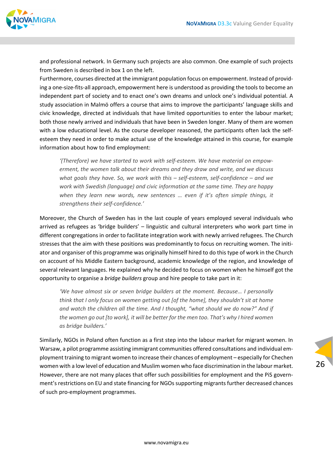

and professional network. In Germany such projects are also common. One example of such projects from Sweden is described in box 1 on the left.

Furthermore, courses directed at the immigrant population focus on empowerment. Instead of provid‐ ing a one‐size‐fits‐all approach, empowerment here is understood as providing the tools to become an independent part of society and to enact one's own dreams and unlock one's individual potential*.* A study association in Malmö offers a course that aims to improve the participants' language skills and civic knowledge, directed at individuals that have limited opportunities to enter the labour market; both those newly arrived and individuals that have been in Sweden longer. Many of them are women with a low educational level. As the course developer reasoned, the participants often lack the selfesteem they need in order to make actual use of the knowledge attained in this course, for example information about how to find employment:

*'(Therefore) we have started to work with self‐esteem. We have material on empow‐ erment, the women talk about their dreams and they draw and write, and we discuss what goals they have. So, we work with this – self‐esteem, self‐confidence – and we work with Swedish (language) and civic information at the same time. They are happy when they learn new words, new sentences … even if it's often simple things, it strengthens their self‐confidence.'*

Moreover, the Church of Sweden has in the last couple of years employed several individuals who arrived as refugees as 'bridge builders' – linguistic and cultural interpreters who work part time in different congregations in order to facilitate integration work with newly arrived refugees. The Church stresses that the aim with these positions was predominantly to focus on recruiting women. The initiator and organiser of this programme was originally himself hired to do this type of work in the Church on account of his Middle Eastern background, academic knowledge of the region, and knowledge of several relevant languages. He explained why he decided to focus on women when he himself got the opportunity to organise a *bridge builders* group and hire people to take part in it:

*'We have almost six or seven bridge builders at the moment. Because… I personally think that I only focus on women getting out [of the home], they shouldn't sit at home and watch the children all the time. And I thought, "what should we do now?" And if the women go out [to work], it will be better for the men too. That's why I hired women as bridge builders.'*

Similarly, NGOs in Poland often function as a first step into the labour market for migrant women. In Warsaw, a pilot programme assisting immigrant communities offered consultations and individual em‐ ployment training to migrant women to increase their chances of employment – especially for Chechen women with a low level of education and Muslim women who face discrimination in the labour market. However, there are not many places that offer such possibilities for employment and the PiS govern‐ ment's restrictions on EU and state financing for NGOs supporting migrants further decreased chances of such pro‐employment programmes.

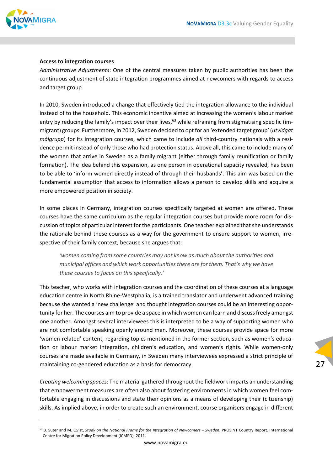

#### **Access to integration courses**

*Administrative Adjustments*: One of the central measures taken by public authorities has been the continuous adjustment of state integration programmes aimed at newcomers with regards to access and target group.

In 2010, Sweden introduced a change that effectively tied the integration allowance to the individual instead of to the household. This economic incentive aimed at increasing the women's labour market entry by reducing the family's impact over their lives,<sup>63</sup> while refraining from stigmatising specific (immigrant) groups. Furthermore, in 2012, Sweden decided to opt for an 'extended target group' (*utvidgat målgrupp*) for its integration courses, which came to include *all* third‐country nationals with a resi‐ dence permit instead of only those who had protection status. Above all, this came to include many of the women that arrive in Sweden as a family migrant (either through family reunification or family formation). The idea behind this expansion, as one person in operational capacity revealed, has been to be able to 'inform women directly instead of through their husbands'. This aim was based on the fundamental assumption that access to information allows a person to develop skills and acquire a more empowered position in society.

In some places in Germany, integration courses specifically targeted at women are offered. These courses have the same curriculum as the regular integration courses but provide more room for dis‐ cussion of topics of particular interest for the participants. One teacher explained thatshe understands the rationale behind these courses as a way for the government to ensure support to women, irrespective of their family context, because she argues that:

*'women coming from some countries may not know as much about the authorities and municipal offices and which work opportunities there are for them. That's why we have these courses to focus on this specifically.'*

This teacher, who works with integration courses and the coordination of these courses at a language education centre in North Rhine‐Westphalia, is a trained translator and underwent advanced training because she wanted a 'new challenge' and thought integration courses could be an interesting oppor‐ tunity for her. The courses aim to provide a space in which women can learn and discuss freely amongst one another. Amongst several interviewees this is interpreted to be a way of supporting women who are not comfortable speaking openly around men. Moreover, these courses provide space for more 'women‐related' content, regarding topics mentioned in the former section, such as women's educa‐ tion or labour market integration, children's education, and women's rights. While women‐only courses are made available in Germany, in Sweden many interviewees expressed a strict principle of maintaining co‐gendered education as a basis for democracy.

*Creating welcoming spaces*: The material gathered throughout the fieldwork imparts an understanding that empowerment measures are often also about fostering environments in which women feel comfortable engaging in discussions and state their opinions as a means of developing their (citizenship) skills. As implied above, in order to create such an environment, course organisers engage in different

<sup>63</sup> B. Suter and M. Qvist, *Study on the National Frame for the Integration of Newcomers – Sweden*. PROSINT Country Report. International Centre for Migration Policy Development (ICMPD), 2011.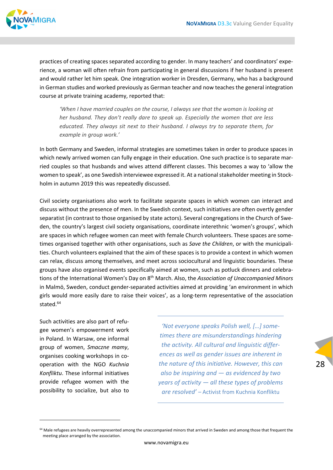

practices of creating spaces separated according to gender. In many teachers' and coordinators' expe‐ rience, a woman will often refrain from participating in general discussions if her husband is present and would rather let him speak. One integration worker in Dresden, Germany, who has a background in German studies and worked previously as German teacher and now teaches the general integration course at private training academy, reported that:

*'When I have married couples on the course, I always see that the woman is looking at her husband. They don't really dare to speak up. Especially the women that are less educated. They always sit next to their husband. I always try to separate them, for example in group work.'* 

In both Germany and Sweden, informal strategies are sometimes taken in order to produce spaces in which newly arrived women can fully engage in their education. One such practice is to separate married couples so that husbands and wives attend different classes. This becomes a way to 'allow the women to speak', as one Swedish interviewee expressed it. At a national stakeholder meeting in Stockholm in autumn 2019 this was repeatedly discussed.

Civil society organisations also work to facilitate separate spaces in which women can interact and discuss without the presence of men. In the Swedish context, such initiatives are often overtly gender separatist (in contrast to those organised by state actors). Several congregations in the Church of Sweden, the country's largest civil society organisations, coordinate interethnic 'women's groups', which are spaces in which refugee women can meet with female Church volunteers. These spaces are some‐ times organised together with other organisations, such as *Save the Children*, or with the municipali‐ ties. Church volunteers explained that the aim of these spaces is to provide a context in which women can relax, discuss among themselves, and meet across sociocultural and linguistic boundaries. These groups have also organised events specifically aimed at women, such as potluck dinners and celebra‐ tions of the International Women's Day on 8th March. Also, the *Association of Unaccompanied Minors* in Malmö, Sweden, conduct gender‐separated activities aimed at providing 'an environment in which girls would more easily dare to raise their voices', as a long-term representative of the association stated.<sup>64</sup>

Such activities are also part of refu‐ gee women's empowerment work in Poland. In Warsaw, one informal group of women, *Smaczne mamy*, organises cooking workshops in co‐ operation with the NGO *Kuchnia Konfliktu*. These informal initiatives provide refugee women with the possibility to socialize, but also to

*'Not everyone speaks Polish well, […] some‐ times there are misunderstandings hindering the activity. All cultural and linguistic differ‐ ences as well as gender issues are inherent in the nature of this initiative. However, this can also be inspiring and — as evidenced by two years of activity — all these types of problems are resolved' –* Activist from Kuchnia Konfliktu

28

<sup>&</sup>lt;sup>64</sup> Male refugees are heavily overrepresented among the unaccompanied minors that arrived in Sweden and among those that frequent the meeting place arranged by the association.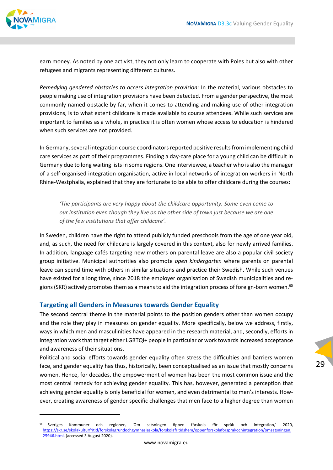

earn money. As noted by one activist, they not only learn to cooperate with Poles but also with other refugees and migrants representing different cultures.

*Remedying gendered obstacles to access integration provision*: In the material, various obstacles to people making use of integration provisions have been detected. From a gender perspective, the most commonly named obstacle by far, when it comes to attending and making use of other integration provisions, is to what extent childcare is made available to course attendees. While such services are important to families as a whole, in practice it is often women whose access to education is hindered when such services are not provided.

In Germany, several integration course coordinators reported positive results from implementing child care services as part of their programmes. Finding a day‐care place for a young child can be difficult in Germany due to long waiting listsin some regions. One interviewee, a teacher who is also the manager of a self‐organised integration organisation, active in local networks of integration workers in North Rhine‐Westphalia, explained that they are fortunate to be able to offer childcare during the courses:

*'The participants are very happy about the childcare opportunity. Some even come to our institution even though they live on the other side of town just because we are one of the few institutions that offer childcare'.*

In Sweden, children have the right to attend publicly funded preschools from the age of one year old, and, as such, the need for childcare is largely covered in this context, also for newly arrived families. In addition, language cafés targeting new mothers on parental leave are also a popular civil society group initiative. Municipal authorities also promote *open kindergarten* where parents on parental leave can spend time with others in similar situations and practice their Swedish. While such venues have existed for a long time, since 2018 the employer organisation of Swedish municipalities and re‐ gions (SKR) actively promotes them as a means to aid the integration process of foreign-born women.<sup>65</sup>

#### **Targeting all Genders in Measures towards Gender Equality**

The second central theme in the material points to the position genders other than women occupy and the role they play in measures on gender equality. More specifically, below we address, firstly, ways in which men and masculinities have appeared in the research material, and, secondly, efforts in integration work that target either LGBTQI+ people in particular or work towardsincreased acceptance and awareness of their situations.

Political and social efforts towards gender equality often stress the difficulties and barriers women face, and gender equality has thus, historically, been conceptualised as an issue that mostly concerns women. Hence, for decades, the empowerment of women has been the most common issue and the most central remedy for achieving gender equality. This has, however, generated a perception that achieving gender equality is only beneficial for women, and even detrimental to men's interests. However, creating awareness of gender specific challenges that men face to a higher degree than women

<sup>65</sup> Sveriges Kommuner och regioner, 'Om satsningen öppen förskola för språk och integration,' 2020, https://skr.se/skolakulturfritid/forskolagrundochgymnasieskola/forskolafritidshem/oppenforskolaforsprakochintegration/omsatsningen. 25946.html, (accessed 3 August 2020).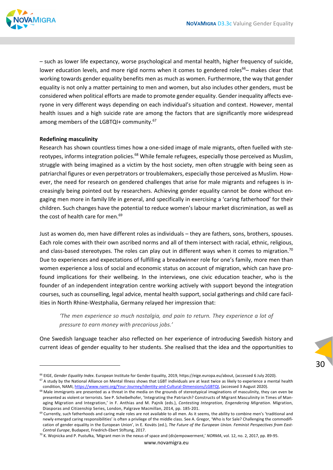

– such as lower life expectancy, worse psychological and mental health, higher frequency of suicide, lower education levels, and more rigid norms when it comes to gendered roles<sup>66</sup>– makes clear that working towards gender equality benefits men as much as women. Furthermore, the way that gender equality is not only a matter pertaining to men and women, but also includes other genders, must be considered when political efforts are made to promote gender equality. Gender inequality affects everyone in very different ways depending on each individual's situation and context. However, mental health issues and a high suicide rate are among the factors that are significantly more widespread among members of the LGBTQI+ community.<sup>67</sup>

#### **Redefining masculinity**

Research has shown countless times how a one‐sided image of male migrants, often fuelled with ste‐ reotypes, informs integration policies.<sup>68</sup> While female refugees, especially those perceived as Muslim, struggle with being imagined as a victim by the host society, men often struggle with being seen as patriarchal figures or even perpetrators or troublemakers, especially those perceived as Muslim. However, the need for research on gendered challenges that arise for male migrants and refugees is in‐ creasingly being pointed out by researchers. Achieving gender equality cannot be done without en‐ gaging men more in family life in general, and specifically in exercising a 'caring fatherhood' for their children. Such changes have the potential to reduce women's labour market discrimination, as well as the cost of health care for men.<sup>69</sup>

Just as women do, men have different roles as individuals – they are fathers, sons, brothers, spouses. Each role comes with their own ascribed norms and all of them intersect with racial, ethnic, religious, and class-based stereotypes. The roles can play out in different ways when it comes to migration.<sup>70</sup> Due to experiences and expectations of fulfilling a breadwinner role for one's family, more men than women experience a loss of social and economic status on account of migration, which can have profound implications for their wellbeing. In the interviews, one civic education teacher, who is the founder of an independent integration centre working actively with support beyond the integration courses, such as counselling, legal advice, mental health support, social gatherings and child care facil‐ ities in North Rhine‐Westphalia, Germany relayed her impression that:

*'The men experience so much nostalgia, and pain to return. They experience a lot of pressure to earn money with precarious jobs.'*

One Swedish language teacher also reflected on her experience of introducing Swedish history and current ideas of gender equality to her students. She realised that the idea and the opportunities to

<sup>66</sup> EIGE, *Gender Equality Index*. European Institute for Gender Equality, 2019, https://eige.europa.eu/about, (accessed 6 July 2020). <sup>67</sup> A study by the National Alliance on Mental Illness shows that LGBT individuals are at least twice as likely to experience a mental health

condition, NAMI, https://www.nami.org/Your-Journey/Identity-and-Cultural-Dimensions/LGBTQI, (accessed 3 August 2020).  $68$  Male immigrants are presented as a threat in the media on the grounds of stereotypical imaginations of masculinity, they can even be presented as violent or terrorists. See P. Scheibelhofer, 'Integrating the Patriarch? Constructs of Migrant Masculinity in Times of Managing Migration and Integration,' in F. Anthias and M. Pajnik (eds.), *Contesting Integration, Engendering Migration*. Migration, Diasporas and Citizenship Series, London, Palgrave Macmillan, 2014, pp. 185‐201.

 $69$  Currently, such fatherhoods and caring male roles are not available to all men. As it seems, the ability to combine men's 'traditional and newly emerged caring responsibilities' is often a privilege of the middle class. See A. Gregor, 'Who is for Sale? Challenging the commodifi‐ cation of gender equality in the European Union', in E. Kováts (ed.), *The Future of the European Union. Feminist Perspectives from East‐ Central Europe*, Budapest, Friedrich‐Ebert Stiftung, 2017.

<sup>70</sup> K. Wojnicka and P. Pustułka, 'Migrant men in the nexus of space and (dis)empowerment,' *NORMA*, vol. 12, no. 2, 2017, pp. 89‐95.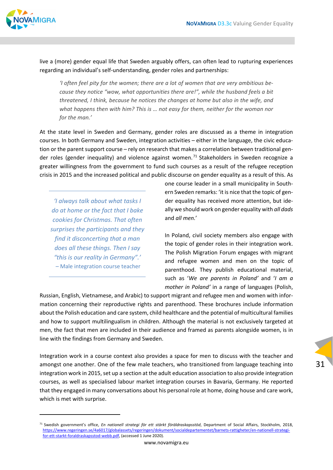

live a (more) gender equal life that Sweden arguably offers, can often lead to rupturing experiences regarding an individual's self‐understanding, gender roles and partnerships:

*'I often feel pity for the women; there are a lot of women that are very ambitious be‐ cause they notice "wow, what opportunities there are!", while the husband feels a bit threatened, I think, because he notices the changes at home but also in the wife, and what happens then with him? This is … not easy for them, neither for the woman nor for the man.'*

At the state level in Sweden and Germany, gender roles are discussed as a theme in integration courses. In both Germany and Sweden, integration activities – either in the language, the civic educa‐ tion or the parent support course – rely on research that makes a correlation between traditional gender roles (gender inequality) and violence against women.<sup>71</sup> Stakeholders in Sweden recognize a greater willingness from the government to fund such courses as a result of the refugee reception crisis in 2015 and the increased political and public discourse on gender equality as a result of this. As

*'I always talk about what tasks I do at home or the fact that I bake cookies for Christmas. That often surprises the participants and they find it disconcerting that a man does all these things. Then I say "this is our reality in Germany".' –* Male integration course teacher

one course leader in a small municipality in South‐ ern Sweden remarks: 'it is nice that the topic of gen‐ der equality has received more attention, but ide‐ ally we should work on gender equality with *all dads* and *all men.*'

In Poland, civil society members also engage with the topic of gender roles in their integration work. The Polish Migration Forum engages with migrant and refugee women and men on the topic of parenthood. They publish educational material, such as '*We are parents in Poland'* and '*I am a mother in Poland'* in a range of languages (Polish,

Russian, English, Vietnamese, and Arabic) to support migrant and refugee men and women with infor‐ mation concerning their reproductive rights and parenthood. These brochures include information about the Polish education and care system, child healthcare and the potential of multicultural families and how to support multilingualism in children. Although the material is not exclusively targeted at men, the fact that men are included in their audience and framed as parents alongside women, is in line with the findings from Germany and Sweden.

Integration work in a course context also provides a space for men to discuss with the teacher and amongst one another. One of the few male teachers, who transitioned from language teaching into integration work in 2015, set up a section at the adult education association to also provide integration courses, as well as specialised labour market integration courses in Bavaria, Germany. He reported that they engaged in many conversations about his personal role at home, doing house and care work, which is met with surprise.

<sup>71</sup> Swedish government's office, *En nationell strategi för ett stärkt föräldraskapsstöd*, Department of Social Affairs, Stockholm, 2018, https://www.regeringen.se/4a6017/globalassets/regeringen/dokument/socialdepartementet/barnets-rattigheter/en-nationell-strategifor-ett-starkt-foraldraskapsstod-webb.pdf, (accessed 1 June 2020).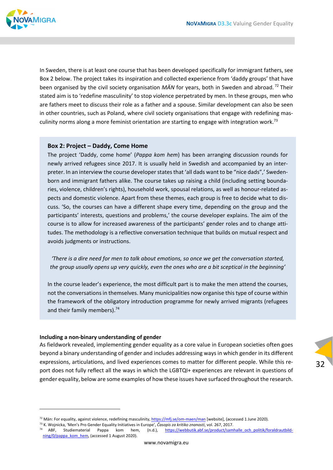

In Sweden, there is at least one course that has been developed specifically for immigrant fathers, see Box 2 below. The project takes its inspiration and collected experience from 'daddy groups' that have been organised by the civil society organisation *MÄN* for years, both in Sweden and abroad. <sup>72</sup> Their stated aim is to 'redefine masculinity' to stop violence perpetrated by men. In these groups, men who are fathers meet to discuss their role as a father and a spouse. Similar development can also be seen in other countries, such as Poland, where civil society organisations that engage with redefining masculinity norms along a more feminist orientation are starting to engage with integration work.<sup>73</sup>

#### **Box 2: Project – Daddy, Come Home**

The project 'Daddy, come home' (*Pappa kom hem*) has been arranging discussion rounds for newly arrived refugees since 2017. It is usually held in Swedish and accompanied by an inter‐ preter. In an interview the course developer states that 'all dads want to be "nice dads",' Swedenborn and immigrant fathers alike. The course takes up raising a child (including setting bounda‐ ries, violence, children's rights), household work, spousal relations, as well as honour‐related as‐ pects and domestic violence. Apart from these themes, each group is free to decide what to dis‐ cuss. 'So, the courses can have a different shape every time, depending on the group and the participants' interests, questions and problems,' the course developer explains. The aim of the course is to allow for increased awareness of the participants' gender roles and to change atti‐ tudes. The methodology is a reflective conversation technique that builds on mutual respect and avoids judgments or instructions.

*'There is a dire need for men to talk about emotions, so once we get the conversation started, the group usually opens up very quickly, even the ones who are a bit sceptical in the beginning'*

In the course leader's experience, the most difficult part is to make the men attend the courses, not the conversations in themselves. Many municipalities now organise this type of course within the framework of the obligatory introduction programme for newly arrived migrants (refugees and their family members).<sup>74</sup>

#### **Including a non‐binary understanding of gender**

As fieldwork revealed, implementing gender equality as a core value in European societies often goes beyond a binary understanding of gender and includes addressing ways in which gender in its different expressions, articulations, and lived experiences comes to matter for different people. While this re‐ port does not fully reflect all the ways in which the LGBTQI+ experiences are relevant in questions of gender equality, below are some examples of how these issues have surfaced throughout the research.

 $72$  Män: For equality, against violence, redefining masculinity, https://mfj.se/om-maen/man [website], (accessed 1 June 2020).

<sup>73</sup> K. Wojnicka, 'Men's Pro Gender Equality Initiatives in Europe', *Časopis za kritiko znanosti*, vol. 267, 2017.

<sup>(</sup>n.d.), https://webbutik.abf.se/product/samhalle\_och\_politik/foraldrautbildning/0/pappa\_kom\_hem, (accessed 1 August 2020).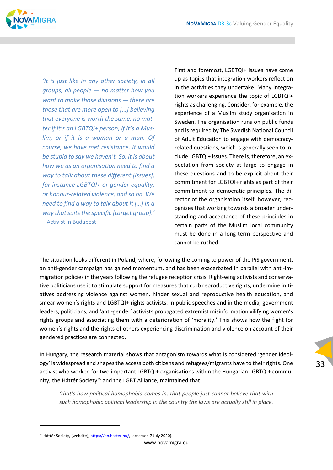

*'It is just like in any other society, in all groups, all people — no matter how you want to make those divisions — there are those that are more open to […] believing that everyone is worth the same, no mat‐ ter if it's an LGBTQI+ person, if it's a Mus‐ lim, or if it is a woman or a man. Of course, we have met resistance. It would be stupid to say we haven't. So, it is about how we as an organisation need to find a way to talk about these different [issues], for instance LGBTQI+ or gender equality, or honour‐related violence, and so on. We need to find a way to talk about it […] in a way thatsuitsthe specific [target group].'* – Activist in Budapest

First and foremost, LGBTQI+ issues have come up as topics that integration workers reflect on in the activities they undertake. Many integra‐ tion workers experience the topic of LGBTQI+ rights as challenging. Consider, for example, the experience of a Muslim study organisation in Sweden. The organisation runs on public funds and isrequired by The Swedish National Council of Adult Education to engage with democracy‐ related questions, which is generally seen to in‐ clude LGBTQI+ issues. There is, therefore, an ex‐ pectation from society at large to engage in these questions and to be explicit about their commitment for LGBTQI+ rights as part of their commitment to democratic principles. The di‐ rector of the organisation itself, however, recognizes that working towards a broader under‐ standing and acceptance of these principles in certain parts of the Muslim local community must be done in a long‐term perspective and cannot be rushed.

The situation looks different in Poland, where, following the coming to power of the PiS government, an anti-gender campaign has gained momentum, and has been exacerbated in parallel with anti-immigration policies in the years following the refugee reception crisis. Right-wing activists and conservative politicians use it to stimulate support for measures that curb reproductive rights, undermine initiatives addressing violence against women, hinder sexual and reproductive health education, and smear women's rights and LGBTQI+ rights activists. In public speeches and in the media, government leaders, politicians, and 'anti‐gender' activists propagated extremist misinformation vilifying women's rights groups and associating them with a deterioration of 'morality.' This shows how the fight for women's rights and the rights of others experiencing discrimination and violence on account of their gendered practices are connected.

In Hungary, the research material shows that antagonism towards what is considered 'gender ideol‐ ogy' is widespread and shapes the access both citizens and refugees/migrants have to their rights. One activist who worked for two important LGBTQI+ organisations within the Hungarian LGBTQI+ community, the Háttér Society<sup>75</sup> and the LGBT Alliance, maintained that:

*'that's how political homophobia comes in, that people just cannot believe that with such homophobic political leadership in the country the laws are actually still in place.*

www.novamigra.eu

<sup>75</sup> Háttér Society, [website], https://en.hatter.hu/, (accessed 7 July 2020).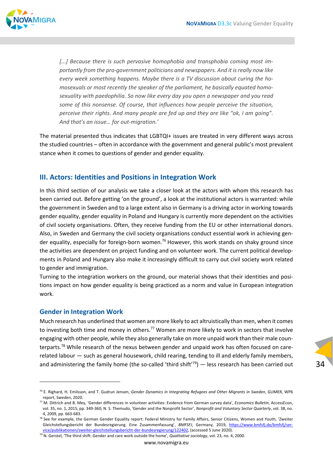

*[...] Because there is such pervasive homophobia and transphobia coming most im‐ portantly from the pro‐government politicians and newspapers. And it isreally now like every week something happens. Maybe there is a TV discussion about curing the ho‐ mosexuals or most recently the speaker of the parliament, he basically equated homo‐ sexuality with paedophilia. So now like every day you open a newspaper and you read some of this nonsense. Of course, that influences how people perceive the situation, perceive their rights. And many people are fed up and they are like "ok, I am going". And that's an issue… for out‐migration.'*

The material presented thus indicates that LGBTQI+ issues are treated in very different ways across the studied countries – often in accordance with the government and general public's most prevalent stance when it comes to questions of gender and gender equality.

### **III. Actors: Identities and Positions in Integration Work**

In this third section of our analysis we take a closer look at the actors with whom this research has been carried out. Before getting 'on the ground', a look at the institutional actors is warranted: while the government in Sweden and to a large extent also in Germany is a driving actor in working towards gender equality, gender equality in Poland and Hungary is currently more dependent on the activities of civil society organisations. Often, they receive funding from the EU or other international donors. Also, in Sweden and Germany the civil society organisations conduct essential work in achieving gen‐ der equality, especially for foreign-born women.<sup>76</sup> However, this work stands on shaky ground since the activities are dependent on project funding and on volunteer work. The current political developments in Poland and Hungary also make it increasingly difficult to carry out civil society work related to gender and immigration.

Turning to the integration workers on the ground, our material shows that their identities and posi‐ tions impact on how gender equality is being practiced as a norm and value in European integration work.

#### **Gender in Integration Work**

Much research has underlined that women are more likely to act altruistically than men, when it comes to investing both time and money in others.<sup>77</sup> Women are more likely to work in sectors that involve engaging with other people, while they also generally take on more unpaid work than their male counterparts.<sup>78</sup> While research of the nexus between gender and unpaid work has often focused on carerelated labour — such as general housework, child rearing, tending to ill and elderly family members, and administering the family home (the so-called 'third shift'<sup>79</sup>) — less research has been carried out

<sup>76</sup> E. Righard, H. Emilsson, and T. Gudrun Jensen, *Gender Dynamics in Integrating Refugees and Other Migrants in Sweden*, GLIMER, WP6 report, Sweden, 2020.

<sup>77</sup> M. Dittrich and B. Mey, 'Gender differences in volunteer activities: Evidence from German survey data', *Economics Bulletin*, AccessEcon, vol. 35, no. 1, 2015, pp. 349‐360; N. S. Themudo, 'Gender and the Nonprofit Sector', *Nonprofit and Voluntary Sector Quarterly*, vol. 38, no. 4, 2009, pp. 663‐683.

<sup>78</sup> See for example, the German Gender Equality report: Federal Ministry for Family Affairs, Senior Citizens, Women and Youth, 'Zweiter Gleichstellungsbericht der Bundesregierung. Eine Zusammenfassung', *BMFSFJ*, Germany, 2019, https://www.bmfsfj.de/bmfsfj/ser‐ vice/publikationen/zweiter‐gleichstellungsbericht‐der‐bundesregierung/122402, (accessed 5 June 2020).

<sup>79</sup> N. Gerstel, 'The third shift: Gender and care work outside the home', *Qualitative sociology*, vol. 23, no. 4, 2000.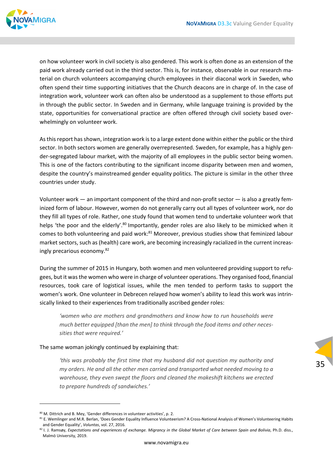

on how volunteer work in civil society is also gendered. This work is often done as an extension of the paid work already carried out in the third sector. This is, for instance, observable in our research material on church volunteers accompanying church employees in their diaconal work in Sweden, who often spend their time supporting initiatives that the Church deacons are in charge of. In the case of integration work, volunteer work can often also be understood as a supplement to those efforts put in through the public sector. In Sweden and in Germany, while language training is provided by the state, opportunities for conversational practice are often offered through civil society based over‐ whelmingly on volunteer work.

Asthisreport hasshown, integration work isto a large extent done within either the public or the third sector. In both sectors women are generally overrepresented. Sweden, for example, has a highly gender‐segregated labour market, with the majority of all employees in the public sector being women. This is one of the factors contributing to the significant income disparity between men and women, despite the country's mainstreamed gender equality politics. The picture is similar in the other three countries under study.

Volunteer work — an important component of the third and non‐profit sector — is also a greatly fem‐ inized form of labour. However, women do not generally carry out all types of volunteer work, nor do they fill all types of role. Rather, one study found that women tend to undertake volunteer work that helps 'the poor and the elderly'.<sup>80</sup> Importantly, gender roles are also likely to be mimicked when it comes to both volunteering and paid work:<sup>81</sup> Moreover, previous studies show that feminized labour market sectors, such as (health) care work, are becoming increasingly racialized in the current increas‐ ingly precarious economy.82

During the summer of 2015 in Hungary, both women and men volunteered providing support to refu‐ gees, but it wasthe women who were in charge of volunteer operations. They organised food, financial resources, took care of logistical issues, while the men tended to perform tasks to support the women's work. One volunteer in Debrecen relayed how women's ability to lead this work was intrinsically linked to their experiences from traditionally ascribed gender roles:

*'women who are mothers and grandmothers and know how to run households were much better equipped [than the men] to think through the food items and other neces‐ sities that were required.'*

#### The same woman jokingly continued by explaining that:

*'this was probably the first time that my husband did not question my authority and my orders. He and all the other men carried and transported what needed moving to a warehouse, they even swept the floors and cleaned the makeshift kitchens we erected to prepare hundreds of sandwiches.'*

<sup>80</sup> M. Dittrich and B. Mey. 'Gender differences in volunteer activities', p. 2.

<sup>81</sup> E. Wemlinger and M.R. Berlan, 'Does Gender Equality Influence Volunteerism? A Cross-National Analysis of Women's Volunteering Habits and Gender Equality', *Voluntas*, vol. 27, 2016.

<sup>82</sup> I. J. Ramsøy, Expectations and experiences of exchange. Migrancy in the Global Market of Care between Spain and Bolivia, Ph.D. diss., Malmö University, 2019.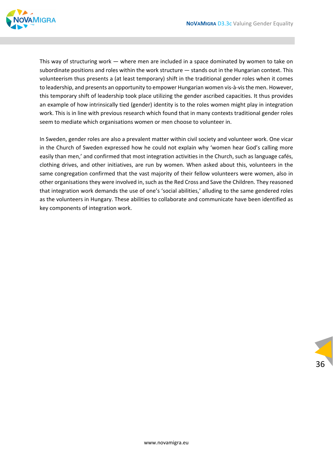

This way of structuring work — where men are included in a space dominated by women to take on subordinate positions and roles within the work structure — stands out in the Hungarian context. This volunteerism thus presents a (at least temporary) shift in the traditional gender roles when it comes to leadership, and presents an opportunity to empower Hungarian women vis‐à‐visthe men. However, this temporary shift of leadership took place utilizing the gender ascribed capacities. It thus provides an example of how intrinsically tied (gender) identity is to the roles women might play in integration work. This is in line with previous research which found that in many contexts traditional gender roles seem to mediate which organisations women or men choose to volunteer in.

In Sweden, gender roles are also a prevalent matter within civil society and volunteer work. One vicar in the Church of Sweden expressed how he could not explain why 'women hear God's calling more easily than men,' and confirmed that most integration activities in the Church, such as language cafés, clothing drives, and other initiatives, are run by women. When asked about this, volunteers in the same congregation confirmed that the vast majority of their fellow volunteers were women, also in other organisations they were involved in, such as the Red Cross and Save the Children. They reasoned that integration work demands the use of one's 'social abilities,' alluding to the same gendered roles as the volunteers in Hungary. These abilities to collaborate and communicate have been identified as key components of integration work.

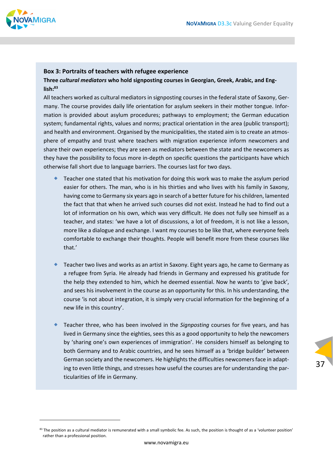

#### **Box 3: Portraits of teachers with refugee experience**

#### **Three** *cultural mediators* **who hold signposting courses in Georgian, Greek, Arabic, and Eng‐ lish:83**

All teachers worked as cultural mediators in signposting courses in the federal state of Saxony, Ger‐ many. The course provides daily life orientation for asylum seekers in their mother tongue. Infor‐ mation is provided about asylum procedures; pathways to employment; the German education system; fundamental rights, values and norms; practical orientation in the area (public transport); and health and environment. Organised by the municipalities, the stated aim is to create an atmosphere of empathy and trust where teachers with migration experience inform newcomers and share their own experiences; they are seen as mediators between the state and the newcomers as they have the possibility to focus more in‐depth on specific questions the participants have which otherwise fall short due to language barriers. The courses last for two days.

- Teacher one stated that his motivation for doing this work was to make the asylum period easier for others. The man, who is in his thirties and who lives with his family in Saxony, having come to Germany six years ago in search of a better future for his children, lamented the fact that that when he arrived such courses did not exist. Instead he had to find out a lot of information on his own, which was very difficult. He does not fully see himself as a teacher, and states: 'we have a lot of discussions, a lot of freedom, it is not like a lesson, more like a dialogue and exchange. I want my courses to be like that, where everyone feels comfortable to exchange their thoughts. People will benefit more from these courses like that.'
- Teacher two lives and works as an artist in Saxony. Eight years ago, he came to Germany as a refugee from Syria. He already had friends in Germany and expressed his gratitude for the help they extended to him, which he deemed essential. Now he wants to 'give back', and sees his involvement in the course as an opportunity for this. In his understanding, the course 'is not about integration, it is simply very crucial information for the beginning of a new life in this country'.
- Teacher three, who has been involved in the *Signposting* courses for five years, and has lived in Germany since the eighties, sees this as a good opportunity to help the newcomers by 'sharing one's own experiences of immigration'. He considers himself as belonging to both Germany and to Arabic countries, and he sees himself as a 'bridge builder' between German society and the newcomers. He highlights the difficulties newcomers face in adapting to even little things, and stresses how useful the courses are for understanding the par‐ ticularities of life in Germany.

37

 $83$  The position as a cultural mediator is remunerated with a small symbolic fee. As such, the position is thought of as a 'volunteer position' rather than a professional position.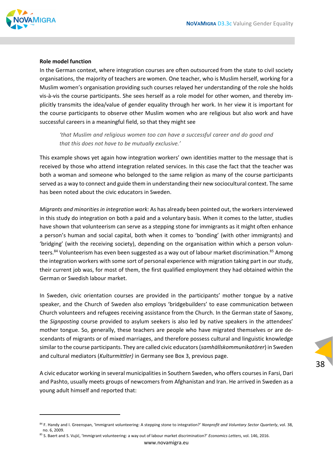

#### **Role model function**

In the German context, where integration courses are often outsourced from the state to civil society organisations, the majority of teachers are women. One teacher, who is Muslim herself, working for a Muslim women's organisation providing such courses relayed her understanding of the role she holds vis‐à‐vis the course participants. She sees herself as a role model for other women, and thereby im‐ plicitly transmits the idea/value of gender equality through her work. In her view it is important for the course participants to observe other Muslim women who are religious but also work and have successful careers in a meaningful field, so that they might see

*'that Muslim and religious women too can have a successful career and do good and that this does not have to be mutually exclusive.'*

This example shows yet again how integration workers' own identities matter to the message that is received by those who attend integration related services. In this case the fact that the teacher was both a woman and someone who belonged to the same religion as many of the course participants served as a way to connect and guide them in understanding their new sociocultural context. The same has been noted about the civic educators in Sweden.

*Migrants and minoritiesin integration work:* As has already been pointed out, the workersinterviewed in this study do integration on both a paid and a voluntary basis. When it comes to the latter, studies have shown that volunteerism can serve as a stepping stone for immigrants as it might often enhance a person's human and social capital, both when it comes to 'bonding' (with other immigrants) and 'bridging' (with the receiving society), depending on the organisation within which a person volun‐ teers.<sup>84</sup> Volunteerism has even been suggested as a way out of labour market discrimination.<sup>85</sup> Among the integration workers with some sort of personal experience with migration taking part in our study, their current job was, for most of them, the first qualified employment they had obtained within the German or Swedish labour market.

In Sweden, civic orientation courses are provided in the participants' mother tongue by a native speaker, and the Church of Sweden also employs 'bridgebuilders' to ease communication between Church volunteers and refugees receiving assistance from the Church. In the German state of Saxony, the *Signposting* course provided to asylum seekers is also led by native speakers in the attendees' mother tongue. So, generally, these teachers are people who have migrated themselves or are de‐ scendants of migrants or of mixed marriages, and therefore possess cultural and linguistic knowledge similarto the course participants. They are called civic educators(*samhällskommunikatörer*) in Sweden and cultural mediators (*Kulturmittler)* in Germany see Box 3, previous page.

A civic educator working in several municipalitiesin Southern Sweden, who offers coursesin Farsi, Dari and Pashto, usually meets groups of newcomers from Afghanistan and Iran. He arrived in Sweden as a young adult himself and reported that:

<sup>84</sup> F. Handy and I. Greenspan, 'Immigrant volunteering: A stepping stone to integration?' *Nonprofit and Voluntary Sector Quarterly*, vol. 38, no. 6, 2009.

<sup>85</sup> S. Baert and S. Vujić, 'Immigrant volunteering: a way out of labour market discrimination?' *Economics Letters*, vol. 146, 2016.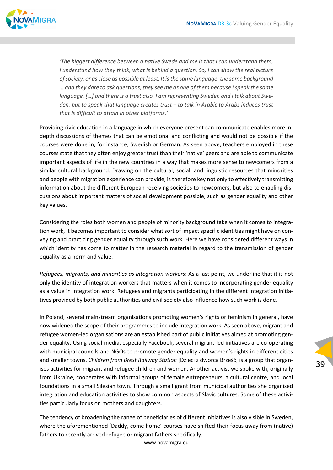

*'The biggest difference between a native Swede and me is that I can understand them, I understand how they think, what is behind a question. So, I can show the real picture ofsociety, or as close as possible at least. It isthe same language, the same background … and they dare to ask questions, they see me as one of them because Ispeak the same language. […] and there is a trust also. I am representing Sweden and I talk about Swe‐ den, but to speak that language creates trust – to talk in Arabic to Arabs induces trust that is difficult to attain in other platforms.'*

Providing civic education in a language in which everyone present can communicate enables more in‐ depth discussions of themes that can be emotional and conflicting and would not be possible if the courses were done in, for instance, Swedish or German. As seen above, teachers employed in these courses state that they often enjoy greater trust than their 'native' peers and are able to communicate important aspects of life in the new countries in a way that makes more sense to newcomers from a similar cultural background. Drawing on the cultural, social, and linguistic resources that minorities and people with migration experience can provide, is therefore key not only to effectively transmitting information about the different European receiving societies to newcomers, but also to enabling dis‐ cussions about important matters of social development possible, such as gender equality and other key values.

Considering the roles both women and people of minority background take when it comes to integra‐ tion work, it becomes important to consider what sort of impact specific identities might have on con‐ veying and practicing gender equality through such work. Here we have considered different ways in which identity has come to matter in the research material in regard to the transmission of gender equality as a norm and value.

*Refugees, migrants, and minorities as integration workers*: As a last point, we underline that it is not only the identity of integration workers that matters when it comes to incorporating gender equality as a value in integration work. Refugees and migrants participating in the different integration initiatives provided by both public authorities and civil society also influence how such work is done.

In Poland, several mainstream organisations promoting women's rights or feminism in general, have now widened the scope of their programmes to include integration work. As seen above, migrant and refugee women‐led organisations are an established part of public initiatives aimed at promoting gen‐ der equality. Using social media, especially Facebook, several migrant-led initiatives are co-operating with municipal councils and NGOs to promote gender equality and women's rights in different cities and smaller towns. *Children from Brest Railway Station* [Dzieci z dworca Brześć] is a group that organ‐ ises activities for migrant and refugee children and women. Another activist we spoke with, originally from Ukraine, cooperates with informal groups of female entrepreneurs, a cultural centre, and local foundations in a small Silesian town. Through a small grant from municipal authorities she organised integration and education activities to show common aspects of Slavic cultures. Some of these activities particularly focus on mothers and daughters.

The tendency of broadening the range of beneficiaries of different initiatives is also visible in Sweden, where the aforementioned 'Daddy, come home' courses have shifted their focus away from (native) fathers to recently arrived refugee or migrant fathers specifically.

www.novamigra.eu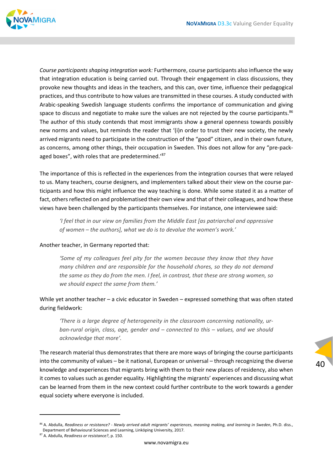

*Course participants shaping integration work:* Furthermore, course participants also influence the way that integration education is being carried out. Through their engagement in class discussions, they provoke new thoughts and ideas in the teachers, and this can, over time, influence their pedagogical practices, and thus contribute to how values are transmitted in these courses. A study conducted with Arabic‐speaking Swedish language students confirms the importance of communication and giving space to discuss and negotiate to make sure the values are not rejected by the course participants.<sup>86</sup> The author of this study contends that most immigrants show a general openness towards possibly new norms and values, but reminds the reader that '(i)n order to trust their new society, the newly arrived migrants need to participate in the construction of the "good" citizen, and in their own future, as concerns, among other things, their occupation in Sweden. This does not allow for any "pre-packaged boxes", with roles that are predetermined.'87

The importance of this is reflected in the experiences from the integration courses that were relayed to us. Many teachers, course designers, and implementers talked about their view on the course par‐ ticipants and how this might influence the way teaching is done. While some stated it as a matter of fact, others reflected on and problematised their own view and that of their colleagues, and how these views have been challenged by the participants themselves. For instance, one interviewee said:

*'I feel that in our view on families from the Middle East [as patriarchal and oppressive of women – the authors], what we do is to devalue the women's work.'*

#### Another teacher, in Germany reported that:

*'Some of my colleagues feel pity for the women because they know that they have many children and are responsible for the household chores, so they do not demand the same as they do from the men. I feel, in contrast, that these are strong women, so we should expect the same from them.'*

While yet another teacher – a civic educator in Sweden – expressed something that was often stated during fieldwork:

*'There is a large degree of heterogeneity in the classroom concerning nationality, ur‐ ban‐rural origin, class, age, gender and – connected to this – values, and we should acknowledge that more'.* 

The research material thus demonstrates that there are more ways of bringing the course participants into the community of values – be it national, European or universal – through recognizing the diverse knowledge and experiences that migrants bring with them to their new places of residency, also when it comes to values such as gender equality. Highlighting the migrants' experiences and discussing what can be learned from them in the new context could further contribute to the work towards a gender equal society where everyone is included.

<sup>&</sup>lt;sup>86</sup> A. Abdulla, Readiness or resistance? - Newly arrived adult migrants' experiences, meaning making, and learning in Sweden, Ph.D. diss., Department of Behavioural Sciences and Learning, Linköping University, 2017.

<sup>87</sup> A. Abdulla, *Readiness or resistance?*, p. 150.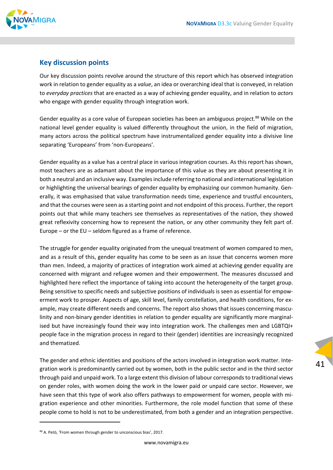

### **Key discussion points**

Our key discussion points revolve around the structure of this report which has observed integration work in relation to gender equality as a *value*, an idea or overarching ideal that is conveyed, in relation to *everyday practices* that are enacted as a way of achieving gender equality, and in relation to *actors* who engage with gender equality through integration work.

Gender equality as a core value of European societies has been an ambiguous project.<sup>88</sup> While on the national level gender equality is valued differently throughout the union, in the field of migration, many actors across the political spectrum have instrumentalized gender equality into a divisive line separating 'Europeans' from 'non‐Europeans'.

Gender equality as a value has a central place in various integration courses. As this report has shown, most teachers are as adamant about the importance of this value as they are about presenting it in both a neutral and an inclusive way. Examples include referring to national and international legislation or highlighting the universal bearings of gender equality by emphasizing our common humanity. Gen‐ erally, it was emphasised that value transformation needs time, experience and trustful encounters, and that the courses were seen as a starting point and not endpoint of this process. Further, the report points out that while many teachers see themselves as representatives of the nation, they showed great reflexivity concerning how to represent the nation, or any other community they felt part of. Europe – or the EU – seldom figured as a frame of reference.

The struggle for gender equality originated from the unequal treatment of women compared to men, and as a result of this, gender equality has come to be seen as an issue that concerns women more than men. Indeed, a majority of practices of integration work aimed at achieving gender equality are concerned with migrant and refugee women and their empowerment. The measures discussed and highlighted here reflect the importance of taking into account the heterogeneity of the target group. Being sensitive to specific needs and subjective positions of individuals is seen as essential for empow‐ erment work to prosper. Aspects of age, skill level, family constellation, and health conditions, for ex‐ ample, may create different needs and concerns. The report also shows that issues concerning masculinity and non-binary gender identities in relation to gender equality are significantly more marginalised but have increasingly found their way into integration work. The challenges men and LGBTQI+ people face in the migration process in regard to their (gender) identities are increasingly recognized and thematized.

The gender and ethnic identities and positions of the actors involved in integration work matter. Integration work is predominantly carried out by women, both in the public sector and in the third sector through paid and unpaid work. To a large extent this division of labour correspondsto traditional views on gender roles, with women doing the work in the lower paid or unpaid care sector. However, we have seen that this type of work also offers pathways to empowerment for women, people with migration experience and other minorities. Furthermore, the role model function that some of these people come to hold is not to be underestimated, from both a gender and an integration perspective.

<sup>88</sup> A. Petö, 'From women through gender to unconscious bias', 2017.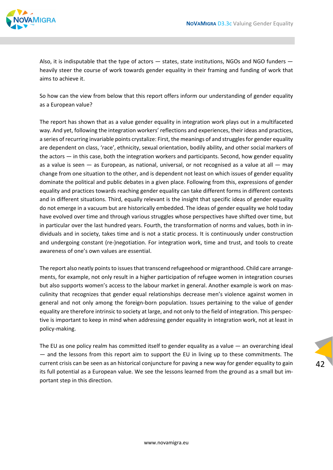

Also, it is indisputable that the type of actors — states, state institutions, NGOs and NGO funders heavily steer the course of work towards gender equality in their framing and funding of work that aims to achieve it.

So how can the view from below that this report offers inform our understanding of gender equality as a European value?

The report has shown that as a value gender equality in integration work plays out in a multifaceted way. And yet, following the integration workers' reflections and experiences, their ideas and practices, a series of recurring invariable points crystalize: First, the meanings of and strugglesfor gender equality are dependent on class, 'race', ethnicity, sexual orientation, bodily ability, and other social markers of the actors — in this case, both the integration workers and participants. Second, how gender equality as a value is seen  $-$  as European, as national, universal, or not recognised as a value at all  $-$  may change from one situation to the other, and is dependent not least on which issues of gender equality dominate the political and public debates in a given place. Following from this, expressions of gender equality and practices towards reaching gender equality can take different forms in different contexts and in different situations. Third, equally relevant is the insight that specific ideas of gender equality do not emerge in a vacuum but are historically embedded. The ideas of gender equality we hold today have evolved over time and through various struggles whose perspectives have shifted over time, but in particular over the last hundred years. Fourth, the transformation of norms and values, both in in‐ dividuals and in society, takes time and is not a static process. It is continuously under construction and undergoing constant (re‐)negotiation. For integration work, time and trust, and tools to create awareness of one's own values are essential.

The report also neatly points to issues that transcend refugeehood or migranthood. Child care arrangements, for example, not only result in a higher participation of refugee women in integration courses but also supports women's access to the labour market in general. Another example is work on masculinity that recognizes that gender equal relationships decrease men's violence against women in general and not only among the foreign‐born population. Issues pertaining to the value of gender equality are therefore intrinsic to society at large, and not only to the field of integration. This perspec‐ tive is important to keep in mind when addressing gender equality in integration work, not at least in policy‐making.

The EU as one policy realm has committed itself to gender equality as a value — an overarching ideal — and the lessons from this report aim to support the EU in living up to these commitments. The current crisis can be seen as an historical conjuncture for paving a new way for gender equality to gain its full potential as a European value. We see the lessons learned from the ground as a small but im‐ portant step in this direction.

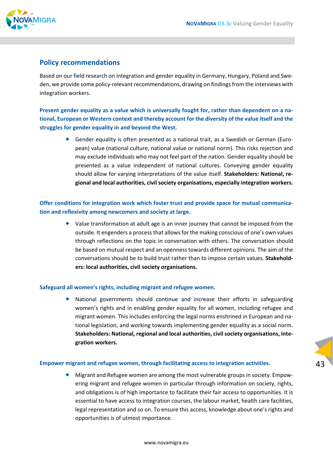

### **Policy recommendations**

Based on our field research on integration and gender equality in Germany, Hungary, Poland and Swe‐ den, we provide some policy-relevant recommendations, drawing on findings from the interviews with integration workers.

**Present gender equality as a value which is universally fought for, rather than dependent on a na‐ tional, European or Western context and thereby account for the diversity of the value itself and the struggles for gender equality in and beyond the West.**

> ◆ Gender equality is often presented as a national trait, as a Swedish or German (European) value (national culture, national value or national norm). This risks rejection and may exclude individuals who may not feel part of the nation. Gender equality should be presented as a value independent of national cultures. Conveying gender equality should allow for varying interpretations of the value itself. **Stakeholders: National, re‐ gional and local authorities, civil society organisations, especially integration workers.**

### **Offer conditions for integration work which foster trust and provide space for mutual communica‐ tion and reflexivity among newcomers and society at large.**

 $\bullet$  Value transformation at adult age is an inner journey that cannot be imposed from the outside. It engenders a processthat allowsfor the making conscious of one's own values through reflections on the topic in conversation with others. The conversation should be based on mutual respect and an openness towards different opinions. The aim of the conversations should be to build trust rather than to impose certain values. **Stakehold‐ ers: local authorities, civil society organisations.**

#### **Safeguard all women's rights, including migrant and refugee women.**

 National governments should continue and increase their efforts in safeguarding women's rights and in enabling gender equality for all women, including refugee and migrant women. This includes enforcing the legal norms enshrined in European and na‐ tional legislation, and working towards implementing gender equality as a social norm. **Stakeholders: National, regional and local authorities, civil society organisations, inte‐ gration workers.**

#### **Empower migrant and refugee women, through facilitating access to integration activities.**

◆ Migrant and Refugee women are among the most vulnerable groups in society. Empowering migrant and refugee women in particular through information on society, rights, and obligations is of high importance to facilitate their fair access to opportunities. It is essential to have access to integration courses, the labour market, health care facilities, legal representation and so on. To ensure this access, knowledge about one's rights and opportunities is of utmost importance.

43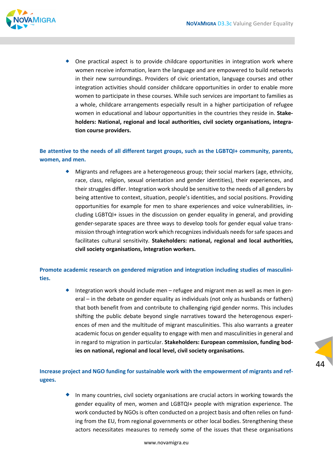

 One practical aspect is to provide childcare opportunities in integration work where women receive information, learn the language and are empowered to build networks in their new surroundings. Providers of civic orientation, language courses and other integration activities should consider childcare opportunities in order to enable more women to participate in these courses. While such services are important to families as a whole, childcare arrangements especially result in a higher participation of refugee women in educational and labour opportunities in the countries they reside in. **Stake‐ holders: National, regional and local authorities, civil society organisations, integra‐ tion course providers.**

### **Be attentive to the needs of all different target groups, such as the LGBTQI+ community, parents, women, and men.**

 Migrants and refugees are a heterogeneous group; their social markers (age, ethnicity, race, class, religion, sexual orientation and gender identities), their experiences, and their struggles differ. Integration work should be sensitive to the needs of all genders by being attentive to context, situation, people's identities, and social positions. Providing opportunities for example for men to share experiences and voice vulnerabilities, in‐ cluding LGBTQI+ issues in the discussion on gender equality in general, and providing gender‐separate spaces are three ways to develop tools for gender equal value trans‐ mission through integration work which recognizesindividuals needsforsafe spaces and facilitates cultural sensitivity. **Stakeholders: national, regional and local authorities, civil society organisations, integration workers.**

### **Promote academic research on gendered migration and integration including studies of masculini‐ ties.**

◆ Integration work should include men – refugee and migrant men as well as men in general – in the debate on gender equality as individuals (not only as husbands or fathers) that both benefit from and contribute to challenging rigid gender norms. This includes shifting the public debate beyond single narratives toward the heterogenous experi‐ ences of men and the multitude of migrant masculinities. This also warrants a greater academic focus on gender equality to engage with men and masculinities in general and in regard to migration in particular. **Stakeholders: European commission, funding bod‐ ies on national, regional and local level, civil society organisations.**

### **Increase project and NGO funding for sustainable work with the empowerment of migrants and ref‐ ugees.**

 $\bullet$  In many countries, civil society organisations are crucial actors in working towards the gender equality of men, women and LGBTQI+ people with migration experience. The work conducted by NGOs is often conducted on a project basis and often relies on funding from the EU, from regional governments or other local bodies. Strengthening these actors necessitates measures to remedy some of the issues that these organisations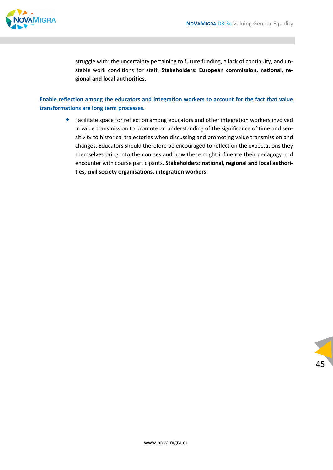

struggle with: the uncertainty pertaining to future funding, a lack of continuity, and un‐ stable work conditions for staff. **Stakeholders: European commission, national, re‐ gional and local authorities.**

### **Enable reflection among the educators and integration workers to account for the fact that value transformations are long term processes.**

 Facilitate space for reflection among educators and other integration workers involved in value transmission to promote an understanding of the significance of time and sensitivity to historical trajectories when discussing and promoting value transmission and changes. Educators should therefore be encouraged to reflect on the expectations they themselves bring into the courses and how these might influence their pedagogy and encounter with course participants. **Stakeholders: national, regional and local authori‐ ties, civil society organisations, integration workers.**

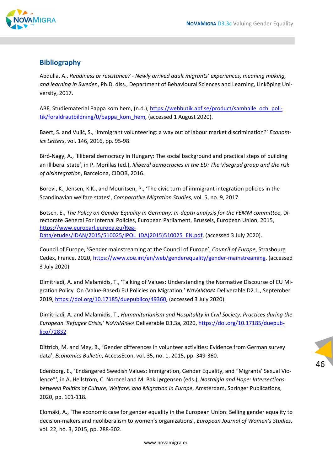

### **Bibliography**

Abdulla, A., *Readiness or resistance? ‐ Newly arrived adult migrants' experiences, meaning making, and learning in Sweden*, Ph.D. diss., Department of Behavioural Sciences and Learning, Linköping Uni‐ versity, 2017.

ABF, Studiematerial Pappa kom hem, (n.d.), https://webbutik.abf.se/product/samhalle\_och\_politik/foraldrautbildning/0/pappa\_kom\_hem, (accessed 1 August 2020).

Baert, S. and Vujić, S., 'Immigrant volunteering: a way out of labour market discrimination?' *Econom‐ ics Letters*, vol. 146, 2016, pp. 95‐98.

Bíró‐Nagy, A., 'Illiberal democracy in Hungary: The social background and practical steps of building an illiberal state', in P. Morillas (ed.), *Illiberal democracies in the EU: The Visegrad group and the risk of disintegration*, Barcelona, CIDOB, 2016.

Borevi, K., Jensen, K.K., and Mouritsen, P., 'The civic turn of immigrant integration policies in the Scandinavian welfare states', *Comparative Migration Studies*, vol. 5, no. 9, 2017.

Botsch, E., *The Policy on Gender Equality in Germany: In‐depth analysis for the FEMM committee*, Di‐ rectorate General For Internal Policies, European Parliament, Brussels, European Union, 2015, https://www.europarl.europa.eu/Reg-Data/etudes/IDAN/2015/510025/IPOL\_IDA(2015)510025\_EN.pdf, (accessed 3 July 2020).

Council of Europe, 'Gender mainstreaming at the Council of Europe', *Council of Europe*, Strasbourg Cedex, France, 2020, https://www.coe.int/en/web/genderequality/gender‐mainstreaming, (accessed 3 July 2020).

Dimitriadi, A. and Malamidis, T., 'Talking of Values: Understanding the Normative Discourse of EU Mi‐ gration Policy. On (Value‐Based) EU Policies on Migration,' *NOVAMIGRA* Deliverable D2.1., September 2019, https://doi.org/10.17185/duepublico/49360, (accessed 3 July 2020).

Dimitriadi, A. and Malamidis, T., *Humanitarianism and Hospitality in Civil Society: Practices during the European 'Refugee Crisis,' NOVAMIGRA* Deliverable D3.3a, 2020, https://doi.org/10.17185/duepub‐ lico/72832

Dittrich, M. and Mey, B., 'Gender differences in volunteer activities: Evidence from German survey data', *Economics Bulletin*, AccessEcon, vol. 35, no. 1, 2015, pp. 349‐360.

Edenborg, E., 'Endangered Swedish Values: Immigration, Gender Equality, and "Migrants' Sexual Vio‐ lence"', in A. Hellström, C. Norocel and M. Bak Jørgensen (eds.), *Nostalgia and Hope: Intersections between Politics of Culture, Welfare, and Migration in Europe*, Amsterdam, Springer Publications, 2020, pp. 101‐118.

Elomäki, A., 'The economic case for gender equality in the European Union: Selling gender equality to decision‐makers and neoliberalism to women's organizations', *European Journal of Women's Studies*, vol. 22, no. 3, 2015, pp. 288‐302.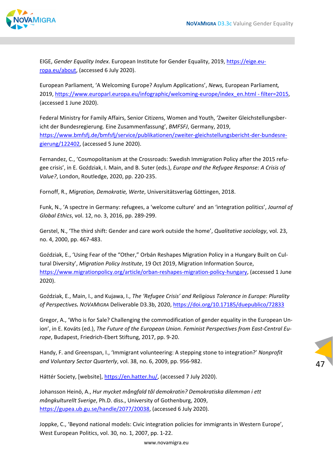

EIGE, *Gender Equality Index*. European Institute for Gender Equality, 2019, https://eige.eu‐ ropa.eu/about, (accessed 6 July 2020).

European Parliament, 'A Welcoming Europe? Asylum Applications', *News,* European Parliament*,* 2019, https://www.europarl.europa.eu/infographic/welcoming-europe/index\_en.html - filter=2015, (accessed 1 June 2020).

Federal Ministry for Family Affairs, Senior Citizens, Women and Youth, 'Zweiter Gleichstellungsber‐ icht der Bundesregierung. Eine Zusammenfassung', *BMFSFJ*, Germany, 2019, https://www.bmfsfj.de/bmfsfj/service/publikationen/zweiter‐gleichstellungsbericht‐der‐bundesre‐ gierung/122402, (accessed 5 June 2020).

Fernandez, C., 'Cosmopolitanism at the Crossroads: Swedish Immigration Policy after the 2015 refu‐ gee crisis', in E. Goździak, I. Main, and B. Suter (eds.), *Europe and the Refugee Response: A Crisis of Value?*, London, Routledge, 2020, pp. 220‐235.

Fornoff, R., *Migration, Demokratie, Werte*, Universitätsverlag Göttingen, 2018.

Funk, N., 'A spectre in Germany: refugees, a 'welcome culture' and an 'integration politics', *Journal of Global Ethics*, vol. 12, no. 3, 2016, pp. 289‐299.

Gerstel, N., 'The third shift: Gender and care work outside the home', *Qualitative sociology*, vol. 23, no. 4, 2000, pp. 467‐483.

Goździak, E., 'Using Fear of the "Other," Orbán Reshapes Migration Policy in a Hungary Built on Cul‐ tural Diversity', *Migration Policy Institute*, 19 Oct 2019, Migration Information Source, https://www.migrationpolicy.org/article/orban‐reshapes‐migration‐policy‐hungary, (accessed 1 June 2020).

Goździak, E., Main, I., and Kujawa, I., *The 'Refugee Crisis' and Religious Tolerance in Europe: Plurality of Perspectives. NOVAMIGRA* Deliverable D3.3b, 2020, https://doi.org/10.17185/duepublico/72833

Gregor, A., 'Who is for Sale? Challenging the commodification of gender equality in the European Un‐ ion', in E. Kováts (ed.), *The Future of the European Union. Feminist Perspectives from East‐Central Eu‐ rope*, Budapest, Friedrich‐Ebert Stiftung, 2017, pp. 9‐20.

Handy, F. and Greenspan, I., 'Immigrant volunteering: A stepping stone to integration?' *Nonprofit and Voluntary Sector Quarterly*, vol. 38, no. 6, 2009, pp. 956‐982.

Háttér Society, [website], https://en.hatter.hu/, (accessed 7 July 2020).

Johansson Heinö, A., *Hur mycket mångfald tål demokratin? Demokratiska dilemman i ett mångkulturellt Sverige*, Ph.D. diss., University of Gothenburg, 2009, https://gupea.ub.gu.se/handle/2077/20038, (accessed 6 July 2020).

Joppke, C., 'Beyond national models: Civic integration policies for immigrants in Western Europe', West European Politics, vol. 30, no. 1, 2007, pp. 1‐22.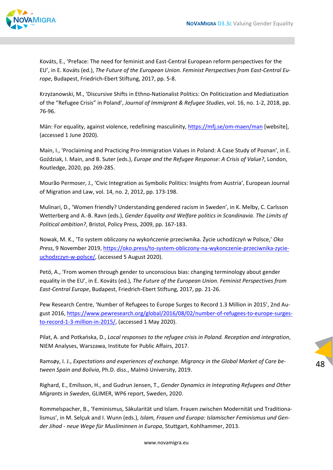

Kováts, E., 'Preface: The need for feminist and East‐Central European reform perspectives for the EU', in E. Kováts (ed.), *The Future of the European Union. Feminist Perspectives from East‐Central Eu‐ rope*, Budapest, Friedrich‐Ebert Stiftung, 2017, pp. 5‐8.

Krzyżanowski, M., 'Discursive Shifts in Ethno‐Nationalist Politics: On Politicization and Mediatization of the "Refugee Crisis" in Poland', *Journal of Immigrant & Refugee Studies*, vol. 16, no. 1‐2, 2018, pp. 76‐96.

Män: For equality, against violence, redefining masculinity, https://mfj.se/om‐maen/man [website], (accessed 1 June 2020).

Main, I., 'Proclaiming and Practicing Pro-Immigration Values in Poland: A Case Study of Poznan', in E. Goździak, I. Main, and B. Suter (eds.), *Europe and the Refugee Response: A Crisis of Value?*, London, Routledge, 2020, pp. 269‐285.

Mourão Permoser, J., 'Civic Integration as Symbolic Politics: Insights from Austria', European Journal of Migration and Law, vol. 14, no. 2, 2012, pp. 173‐198.

Mulinari, D., 'Women friendly? Understanding gendered racism in Sweden', in K. Melby, C. Carlsson Wetterberg and A.‐B. Ravn (eds.), *Gender Equality and Welfare politics in Scandinavia. The Limits of Political ambition?*, Bristol, Policy Press, 2009, pp. 167‐183.

Nowak, M. K., 'To system obliczony na wykończenie przeciwnika. Życie uchodźczyń w Polsce,' *Oko Press*, 9 November 2019, https://oko.press/to‐system‐obliczony‐na‐wykonczenie‐przeciwnika‐zycie‐ uchodzczyn‐w‐polsce/, (accessed 5 August 2020).

Petö, A., 'From women through gender to unconscious bias: changing terminology about gender equality in the EU', in E. Kováts (ed.), *The Future of the European Union. Feminist Perspectives from East‐Central Europe*, Budapest, Friedrich‐Ebert Stiftung, 2017, pp. 21‐26.

Pew Research Centre, 'Number of Refugees to Europe Surges to Record 1.3 Million in 2015', 2nd Au‐ gust 2016, https://www.pewresearch.org/global/2016/08/02/number-of-refugees-to-europe-surgesto-record-1-3-million-in-2015/, (accessed 1 May 2020).

Pilat, A. and Potkańska, D., *Local responses to the refugee crisis in Poland. Reception and integration*, NIEM Analyses, Warszawa, Institute for Public Affairs, 2017.

Ramsøy, I. J., *Expectations and experiences of exchange. Migrancy in the Global Market of Care be‐ tween Spain and Bolivia*, Ph.D. diss., Malmö University, 2019.

Righard, E., Emilsson, H., and Gudrun Jensen, T., *Gender Dynamics in Integrating Refugees and Other Migrants in Sweden*, GLIMER, WP6 report, Sweden, 2020.

Rommelspacher, B., 'Feminismus, Säkularität und Islam. Frauen zwischen Modernität und Traditiona‐ lismus', in M. Selçuk and I. Wunn (eds.), *Islam, Frauen und Europa: Islamischer Feminismus und Gen‐ der Jihad ‐ neue Wege für Musliminnen in Europa*, Stuttgart, Kohlhammer, 2013.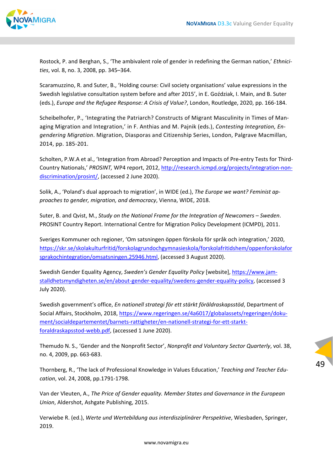

Rostock, P. and Berghan, S., 'The ambivalent role of gender in redefining the German nation,' *Ethnici‐ ties*, vol. 8, no. 3, 2008, pp. 345–364.

Scaramuzzino, R. and Suter, B., 'Holding course: Civil society organisations' value expressions in the Swedish legislative consultation system before and after 2015', in E. Goździak, I. Main, and B. Suter (eds.), *Europe and the Refugee Response: A Crisis of Value?*, London, Routledge, 2020, pp. 166‐184.

Scheibelhofer, P., 'Integrating the Patriarch? Constructs of Migrant Masculinity in Times of Man‐ aging Migration and Integration,' in F. Anthias and M. Pajnik (eds.), *Contesting Integration, En‐ gendering Migration*. Migration, Diasporas and Citizenship Series, London, Palgrave Macmillan, 2014, pp. 185‐201.

Scholten, P.W.A et al., 'Integration from Abroad? Perception and Impacts of Pre‐entry Tests for Third‐ Country Nationals,' *PROSINT,* WP4 report, 2012, http://research.icmpd.org/projects/integration‐non‐ discrimination/prosint/, (accessed 2 June 2020).

Solik, A., 'Poland's dual approach to migration', in WIDE (ed.), *The Europe we want? Feminist ap‐ proaches to gender, migration, and democracy*, Vienna, WIDE, 2018.

Suter, B. and Qvist, M., *Study on the National Frame for the Integration of Newcomers – Sweden*. PROSINT Country Report. International Centre for Migration Policy Development (ICMPD), 2011.

Sveriges Kommuner och regioner, 'Om satsningen öppen förskola för språk och integration,' 2020, https://skr.se/skolakulturfritid/forskolagrundochgymnasieskola/forskolafritidshem/oppenforskolafor sprakochintegration/omsatsningen.25946.html, (accessed 3 August 2020).

Swedish Gender Equality Agency, *Sweden's Gender Equality Policy* [website], https://www.jam‐ stalldhetsmyndigheten.se/en/about‐gender‐equality/swedens‐gender‐equality‐policy, (accessed 3 July 2020).

Swedish government's office, *En nationell strategi för ett stärkt föräldraskapsstöd*, Department of Social Affairs, Stockholm, 2018, https://www.regeringen.se/4a6017/globalassets/regeringen/dokument/socialdepartementet/barnets‐rattigheter/en‐nationell‐strategi‐for‐ett‐starkt‐ foraldraskapsstod‐webb.pdf, (accessed 1 June 2020).

Themudo N. S., 'Gender and the Nonprofit Sector', *Nonprofit and Voluntary Sector Quarterly*, vol. 38, no. 4, 2009, pp. 663‐683.

Thornberg, R., 'The lack of Professional Knowledge in Values Education,' *Teaching and Teacher Edu‐ cation*, vol. 24, 2008, pp.1791‐1798.

Van der Vleuten, A., *The Price of Gender equality. Member States and Governance in the European Union*, Aldershot, Ashgate Publishing, 2015.

Verwiebe R. (ed.), *Werte und Wertebildung aus interdisziplinärer Perspektive*, Wiesbaden, Springer, 2019.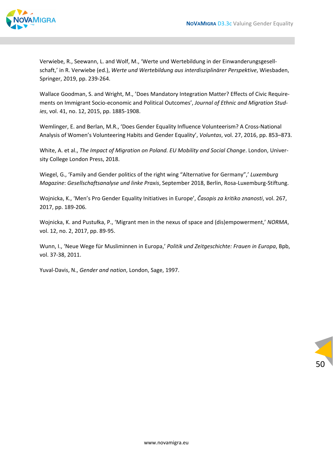

Verwiebe, R., Seewann, L. and Wolf, M., 'Werte und Wertebildung in der Einwanderungsgesell‐ schaft,' in R. Verwiebe (ed.), *Werte und Wertebildung aus interdisziplinärer Perspektive*, Wiesbaden, Springer, 2019, pp. 239‐264.

Wallace Goodman, S. and Wright, M., 'Does Mandatory Integration Matter? Effects of Civic Require‐ ments on Immigrant Socio‐economic and Political Outcomes', *Journal of Ethnic and Migration Stud‐ ies*, vol. 41, no. 12, 2015, pp. 1885‐1908.

Wemlinger, E. and Berlan, M.R., 'Does Gender Equality Influence Volunteerism? A Cross‐National Analysis of Women's Volunteering Habits and Gender Equality', *Voluntas*, vol. 27, 2016, pp. 853–873.

White, A. et al., *The Impact of Migration on Poland. EU Mobility and Social Change*. London, Univer‐ sity College London Press, 2018.

Wiegel, G., 'Family and Gender politics of the right wing "Alternative for Germany",' *Luxemburg Magazine*: *Gesellschaftsanalyse und linke Praxis*, September 2018, Berlin, Rosa‐Luxemburg‐Stiftung.

Wojnicka, K., 'Men's Pro Gender Equality Initiatives in Europe', *Časopis za kritiko znanosti*, vol. 267, 2017, pp. 189‐206.

Wojnicka, K. and Pustułka, P., 'Migrant men in the nexus of space and (dis)empowerment,' *NORMA*, vol. 12, no. 2, 2017, pp. 89‐95.

Wunn, I., 'Neue Wege für Musliminnen in Europa,' *Politik und Zeitgeschichte: Frauen in Europa*, Bpb, vol. 37‐38, 2011.

Yuval‐Davis, N., *Gender and nation*, London, Sage, 1997.

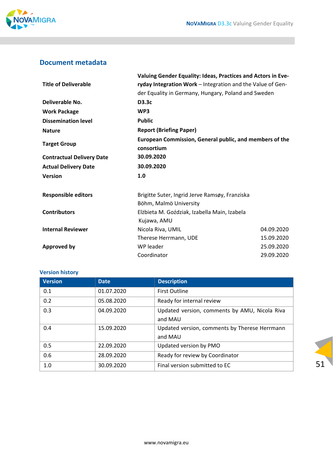

### **Document metadata**

|                                  | Valuing Gender Equality: Ideas, Practices and Actors in Eve- |            |  |
|----------------------------------|--------------------------------------------------------------|------------|--|
| <b>Title of Deliverable</b>      | ryday Integration Work - Integration and the Value of Gen-   |            |  |
|                                  | der Equality in Germany, Hungary, Poland and Sweden          |            |  |
| Deliverable No.                  | D3.3c                                                        |            |  |
| <b>Work Package</b>              | WP3                                                          |            |  |
| <b>Dissemination level</b>       | <b>Public</b>                                                |            |  |
| <b>Nature</b>                    | <b>Report (Briefing Paper)</b>                               |            |  |
| <b>Target Group</b>              | European Commission, General public, and members of the      |            |  |
|                                  | consortium                                                   |            |  |
| <b>Contractual Delivery Date</b> | 30.09.2020                                                   |            |  |
| <b>Actual Delivery Date</b>      | 30.09.2020                                                   |            |  |
| <b>Version</b>                   | 1.0                                                          |            |  |
| <b>Responsible editors</b>       | Brigitte Suter, Ingrid Jerve Ramsøy, Franziska               |            |  |
|                                  | Böhm, Malmö University                                       |            |  |
| <b>Contributors</b>              | Elżbieta M. Goździak, Izabella Main, Izabela                 |            |  |
|                                  | Kujawa, AMU                                                  |            |  |
| <b>Internal Reviewer</b>         | Nicola Riva, UMIL                                            | 04.09.2020 |  |
|                                  | Therese Herrmann, UDE                                        | 15.09.2020 |  |
| <b>Approved by</b>               | WP leader                                                    | 25.09.2020 |  |
|                                  | Coordinator                                                  | 29.09.2020 |  |

### **Version history**

| <b>Version</b> | <b>Date</b> | <b>Description</b>                            |
|----------------|-------------|-----------------------------------------------|
| 0.1            | 01.07.2020  | <b>First Outline</b>                          |
| 0.2            | 05.08.2020  | Ready for internal review                     |
| 0.3            | 04.09.2020  | Updated version, comments by AMU, Nicola Riva |
|                |             | and MAU                                       |
| 0.4            | 15.09.2020  | Updated version, comments by Therese Herrmann |
|                |             | and MAU                                       |
| 0.5            | 22.09.2020  | Updated version by PMO                        |
| 0.6            | 28.09.2020  | Ready for review by Coordinator               |
| 1.0            | 30.09.2020  | Final version submitted to EC                 |

51